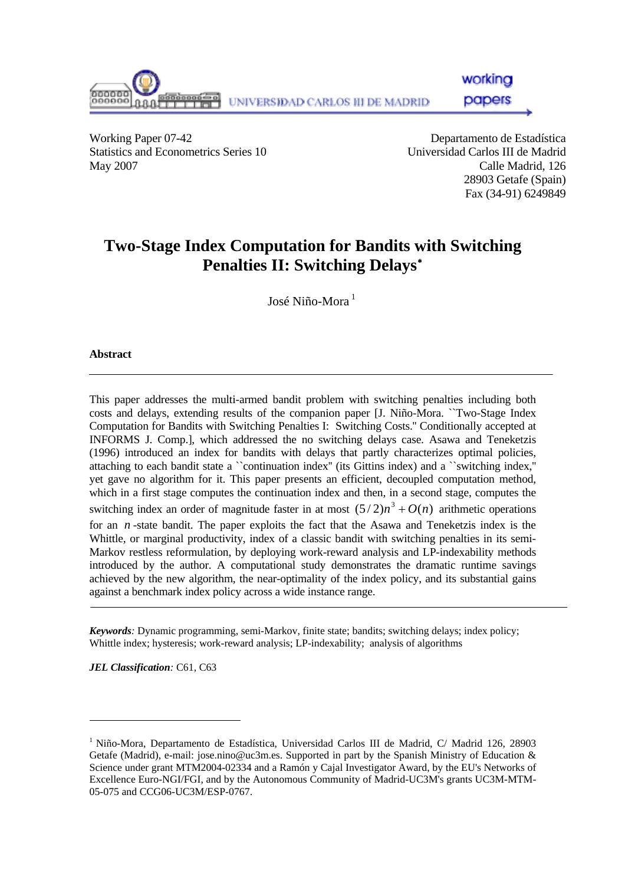

workina

papers

Working Paper 07-42 Departamento de Estadística Statistics and Econometrics Series 10 Universidad Carlos III de Madrid May 2007 Calle Madrid, 126

28903 Getafe (Spain) Fax (34-91) 6249849

# **Two-Stage Index Computation for Bandits with Switching Penalties II: Switching Delays**[∗](#page-0-0)

José Niño-Mora<sup>1</sup>

#### **Abstract**

This paper addresses the multi-armed bandit problem with switching penalties including both costs and delays, extending results of the companion paper [J. Niño-Mora. ``Two-Stage Index Computation for Bandits with Switching Penalties I: Switching Costs.'' Conditionally accepted at INFORMS J. Comp.], which addressed the no switching delays case. Asawa and Teneketzis (1996) introduced an index for bandits with delays that partly characterizes optimal policies, attaching to each bandit state a ``continuation index'' (its Gittins index) and a ``switching index,'' yet gave no algorithm for it. This paper presents an efficient, decoupled computation method, which in a first stage computes the continuation index and then, in a second stage, computes the switching index an order of magnitude faster in at most  $(5/2)n^3 + O(n)$  arithmetic operations for an  $n$ -state bandit. The paper exploits the fact that the Asawa and Teneketzis index is the Whittle, or marginal productivity, index of a classic bandit with switching penalties in its semi-Markov restless reformulation, by deploying work-reward analysis and LP-indexability methods introduced by the author. A computational study demonstrates the dramatic runtime savings achieved by the new algorithm, the near-optimality of the index policy, and its substantial gains against a benchmark index policy across a wide instance range.

*Keywords:* Dynamic programming, semi-Markov, finite state; bandits; switching delays; index policy; Whittle index; hysteresis; work-reward analysis; LP-indexability; analysis of algorithms

*JEL Classification:* C61, C63

l

<span id="page-0-0"></span><sup>1</sup> Niño-Mora, Departamento de Estadística, Universidad Carlos III de Madrid, C/ Madrid 126, 28903 Getafe (Madrid), e-mail: jose.nino@uc3m.es. Supported in part by the Spanish Ministry of Education & Science under grant MTM2004-02334 and a Ramón y Cajal Investigator Award, by the EU's Networks of Excellence Euro-NGI/FGI, and by the Autonomous Community of Madrid-UC3M's grants UC3M-MTM-05-075 and CCG06-UC3M/ESP-0767.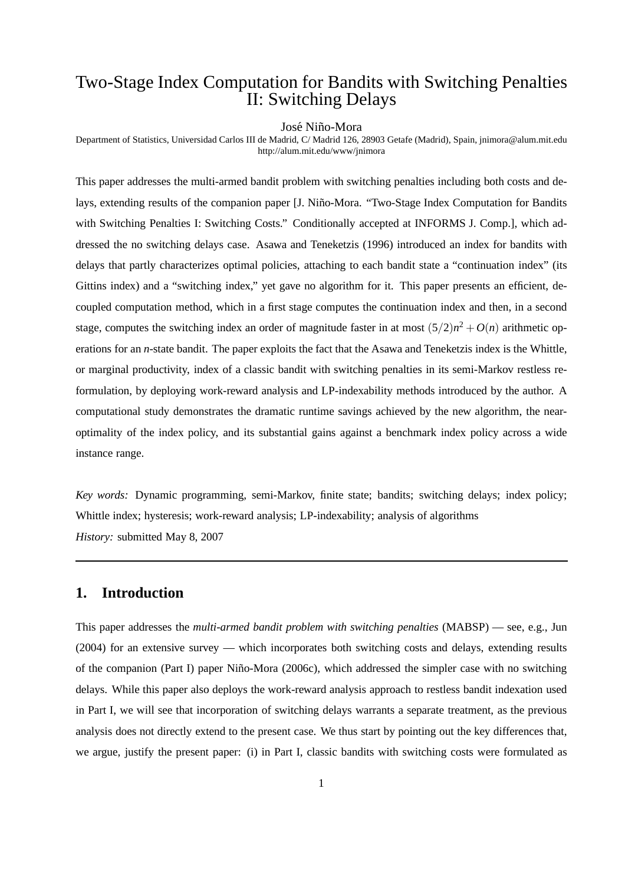## Two-Stage Index Computation for Bandits with Switching Penalties II: Switching Delays

#### José Niño-Mora

Department of Statistics, Universidad Carlos III de Madrid, C/ Madrid 126, 28903 Getafe (Madrid), Spain, jnimora@alum.mit.edu http://alum.mit.edu/www/jnimora

This paper addresses the multi-armed bandit problem with switching penalties including both costs and delays, extending results of the companion paper [J. Niño-Mora. "Two-Stage Index Computation for Bandits" with Switching Penalties I: Switching Costs." Conditionally accepted at INFORMS J. Comp.], which addressed the no switching delays case. Asawa and Teneketzis (1996) introduced an index for bandits with delays that partly characterizes optimal policies, attaching to each bandit state a "continuation index" (its Gittins index) and a "switching index," yet gave no algorithm for it. This paper presents an efficient, decoupled computation method, which in a first stage computes the continuation index and then, in a second stage, computes the switching index an order of magnitude faster in at most  $(5/2)n^2 + O(n)$  arithmetic operations for an *n*-state bandit. The paper exploits the fact that the Asawa and Teneketzis index is the Whittle, or marginal productivity, index of a classic bandit with switching penalties in its semi-Markov restless reformulation, by deploying work-reward analysis and LP-indexability methods introduced by the author. A computational study demonstrates the dramatic runtime savings achieved by the new algorithm, the nearoptimality of the index policy, and its substantial gains against a benchmark index policy across a wide instance range.

*Key words:* Dynamic programming, semi-Markov, finite state; bandits; switching delays; index policy; Whittle index; hysteresis; work-reward analysis; LP-indexability; analysis of algorithms *History:* submitted May 8, 2007

## **1. Introduction**

This paper addresses the *multi-armed bandit problem with switching penalties* (MABSP) — see, e.g., Jun (2004) for an extensive survey — which incorporates both switching costs and delays, extending results of the companion (Part I) paper Niño-Mora (2006c), which addressed the simpler case with no switching delays. While this paper also deploys the work-reward analysis approach to restless bandit indexation used in Part I, we will see that incorporation of switching delays warrants a separate treatment, as the previous analysis does not directly extend to the present case. We thus start by pointing out the key differences that, we argue, justify the present paper: (i) in Part I, classic bandits with switching costs were formulated as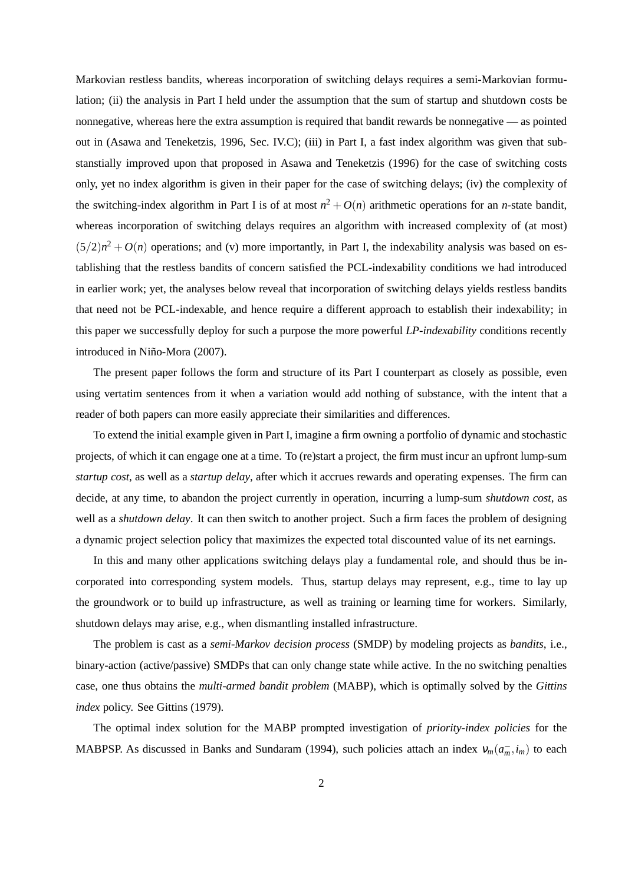Markovian restless bandits, whereas incorporation of switching delays requires a semi-Markovian formulation; (ii) the analysis in Part I held under the assumption that the sum of startup and shutdown costs be nonnegative, whereas here the extra assumption is required that bandit rewards be nonnegative — as pointed out in (Asawa and Teneketzis, 1996, Sec. IV.C); (iii) in Part I, a fast index algorithm was given that substanstially improved upon that proposed in Asawa and Teneketzis (1996) for the case of switching costs only, yet no index algorithm is given in their paper for the case of switching delays; (iv) the complexity of the switching-index algorithm in Part I is of at most  $n^2 + O(n)$  arithmetic operations for an *n*-state bandit, whereas incorporation of switching delays requires an algorithm with increased complexity of (at most)  $(5/2)n^2 + O(n)$  operations; and (v) more importantly, in Part I, the indexability analysis was based on establishing that the restless bandits of concern satisfied the PCL-indexability conditions we had introduced in earlier work; yet, the analyses below reveal that incorporation of switching delays yields restless bandits that need not be PCL-indexable, and hence require a different approach to establish their indexability; in this paper we successfully deploy for such a purpose the more powerful *LP-indexability* conditions recently introduced in Niño-Mora (2007).

The present paper follows the form and structure of its Part I counterpart as closely as possible, even using vertatim sentences from it when a variation would add nothing of substance, with the intent that a reader of both papers can more easily appreciate their similarities and differences.

To extend the initial example given in Part I, imagine a firm owning a portfolio of dynamic and stochastic projects, of which it can engage one at a time. To (re)start a project, the firm must incur an upfront lump-sum *startup cost*, as well as a *startup delay*, after which it accrues rewards and operating expenses. The firm can decide, at any time, to abandon the project currently in operation, incurring a lump-sum *shutdown cost*, as well as a *shutdown delay*. It can then switch to another project. Such a firm faces the problem of designing a dynamic project selection policy that maximizes the expected total discounted value of its net earnings.

In this and many other applications switching delays play a fundamental role, and should thus be incorporated into corresponding system models. Thus, startup delays may represent, e.g., time to lay up the groundwork or to build up infrastructure, as well as training or learning time for workers. Similarly, shutdown delays may arise, e.g., when dismantling installed infrastructure.

The problem is cast as a *semi-Markov decision process* (SMDP) by modeling projects as *bandits*, i.e., binary-action (active/passive) SMDPs that can only change state while active. In the no switching penalties case, one thus obtains the *multi-armed bandit problem* (MABP), which is optimally solved by the *Gittins index* policy. See Gittins (1979).

The optimal index solution for the MABP prompted investigation of *priority-index policies* for the MABPSP. As discussed in Banks and Sundaram (1994), such policies attach an index  $v_m(a_m, i_m)$  to each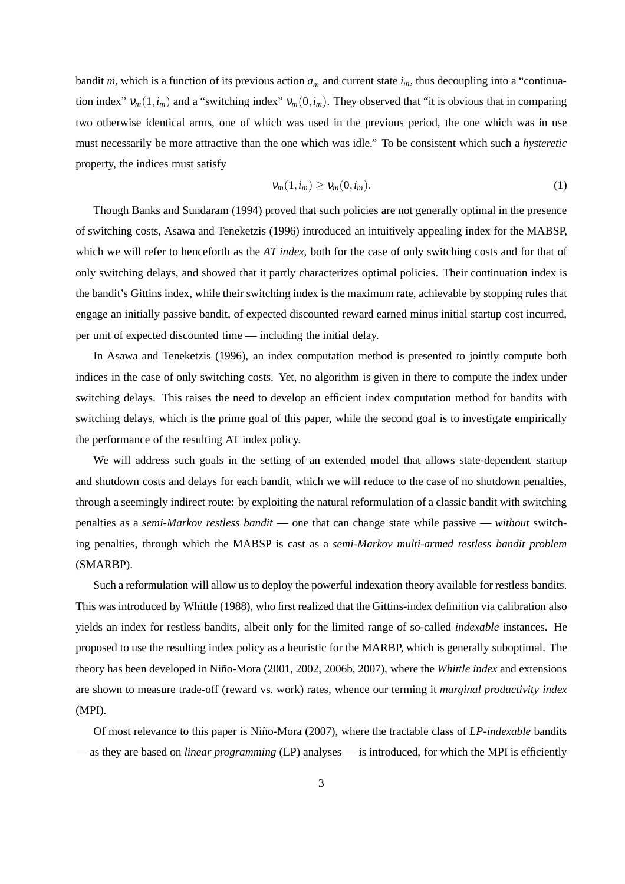bandit *m*, which is a function of its previous action  $a_m^-$  and current state  $i_m$ , thus decoupling into a "continuation index"  $v_m(1,i_m)$  and a "switching index"  $v_m(0,i_m)$ . They observed that "it is obvious that in comparing two otherwise identical arms, one of which was used in the previous period, the one which was in use must necessarily be more attractive than the one which was idle." To be consistent which such a *hysteretic* property, the indices must satisfy

$$
\mathsf{V}_m(1,i_m) \ge \mathsf{V}_m(0,i_m). \tag{1}
$$

Though Banks and Sundaram (1994) proved that such policies are not generally optimal in the presence of switching costs, Asawa and Teneketzis (1996) introduced an intuitively appealing index for the MABSP, which we will refer to henceforth as the *AT index*, both for the case of only switching costs and for that of only switching delays, and showed that it partly characterizes optimal policies. Their continuation index is the bandit's Gittins index, while their switching index is the maximum rate, achievable by stopping rules that engage an initially passive bandit, of expected discounted reward earned minus initial startup cost incurred, per unit of expected discounted time — including the initial delay.

In Asawa and Teneketzis (1996), an index computation method is presented to jointly compute both indices in the case of only switching costs. Yet, no algorithm is given in there to compute the index under switching delays. This raises the need to develop an efficient index computation method for bandits with switching delays, which is the prime goal of this paper, while the second goal is to investigate empirically the performance of the resulting AT index policy.

We will address such goals in the setting of an extended model that allows state-dependent startup and shutdown costs and delays for each bandit, which we will reduce to the case of no shutdown penalties, through a seemingly indirect route: by exploiting the natural reformulation of a classic bandit with switching penalties as a *semi-Markov restless bandit* — one that can change state while passive — *without* switching penalties, through which the MABSP is cast as a *semi-Markov multi-armed restless bandit problem* (SMARBP).

Such a reformulation will allow us to deploy the powerful indexation theory available for restless bandits. This was introduced by Whittle (1988), who first realized that the Gittins-index definition via calibration also yields an index for restless bandits, albeit only for the limited range of so-called *indexable* instances. He proposed to use the resulting index policy as a heuristic for the MARBP, which is generally suboptimal. The theory has been developed in Niño-Mora (2001, 2002, 2006b, 2007), where the *Whittle index* and extensions are shown to measure trade-off (reward vs. work) rates, whence our terming it *marginal productivity index* (MPI).

Of most relevance to this paper is Niño-Mora (2007), where the tractable class of *LP-indexable* bandits — as they are based on *linear programming* (LP) analyses — is introduced, for which the MPI is efficiently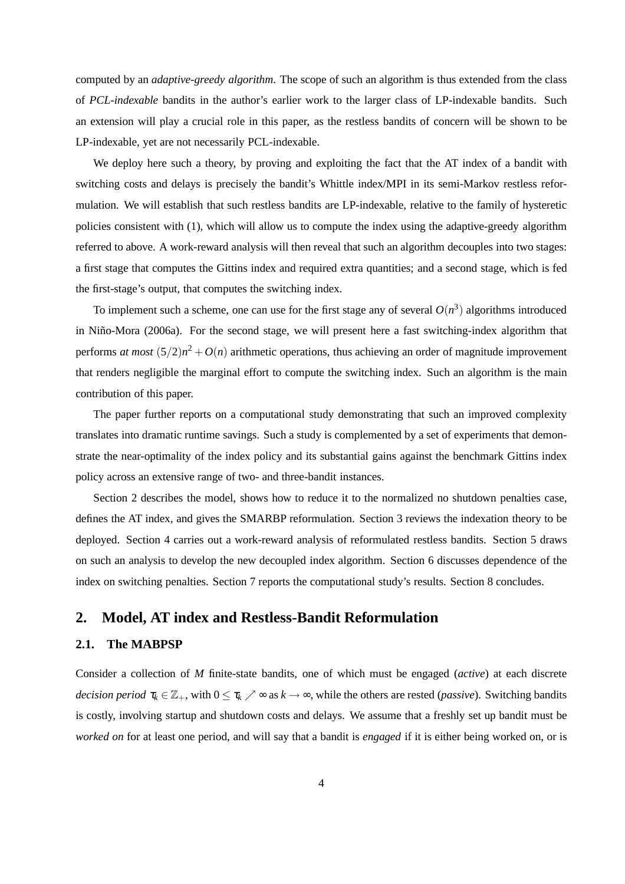computed by an *adaptive-greedy algorithm*. The scope of such an algorithm is thus extended from the class of *PCL-indexable* bandits in the author's earlier work to the larger class of LP-indexable bandits. Such an extension will play a crucial role in this paper, as the restless bandits of concern will be shown to be LP-indexable, yet are not necessarily PCL-indexable.

We deploy here such a theory, by proving and exploiting the fact that the AT index of a bandit with switching costs and delays is precisely the bandit's Whittle index/MPI in its semi-Markov restless reformulation. We will establish that such restless bandits are LP-indexable, relative to the family of hysteretic policies consistent with (1), which will allow us to compute the index using the adaptive-greedy algorithm referred to above. A work-reward analysis will then reveal that such an algorithm decouples into two stages: a first stage that computes the Gittins index and required extra quantities; and a second stage, which is fed the first-stage's output, that computes the switching index.

To implement such a scheme, one can use for the first stage any of several  $O(n^3)$  algorithms introduced in Niño-Mora (2006a). For the second stage, we will present here a fast switching-index algorithm that performs *at most*  $(5/2)n^2 + O(n)$  arithmetic operations, thus achieving an order of magnitude improvement that renders negligible the marginal effort to compute the switching index. Such an algorithm is the main contribution of this paper.

The paper further reports on a computational study demonstrating that such an improved complexity translates into dramatic runtime savings. Such a study is complemented by a set of experiments that demonstrate the near-optimality of the index policy and its substantial gains against the benchmark Gittins index policy across an extensive range of two- and three-bandit instances.

Section 2 describes the model, shows how to reduce it to the normalized no shutdown penalties case, defines the AT index, and gives the SMARBP reformulation. Section 3 reviews the indexation theory to be deployed. Section 4 carries out a work-reward analysis of reformulated restless bandits. Section 5 draws on such an analysis to develop the new decoupled index algorithm. Section 6 discusses dependence of the index on switching penalties. Section 7 reports the computational study's results. Section 8 concludes.

## **2. Model, AT index and Restless-Bandit Reformulation**

#### **2.1. The MABPSP**

Consider a collection of *M* finite-state bandits, one of which must be engaged (*active*) at each discrete *decision period*  $\tau_k \in \mathbb{Z}_+$ , with  $0 \leq \tau_k \nearrow \infty$  as  $k \to \infty$ , while the others are rested (*passive*). Switching bandits is costly, involving startup and shutdown costs and delays. We assume that a freshly set up bandit must be *worked on* for at least one period, and will say that a bandit is *engaged* if it is either being worked on, or is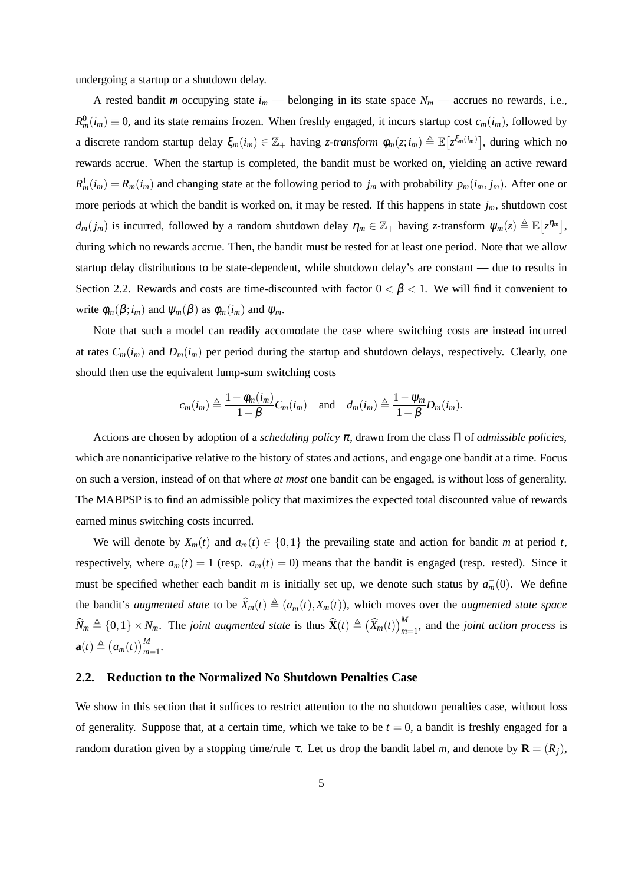undergoing a startup or a shutdown delay.

A rested bandit *m* occupying state  $i_m$  — belonging in its state space  $N_m$  — accrues no rewards, i.e.,  $R_m^0(i_m) \equiv 0$ , and its state remains frozen. When freshly engaged, it incurs startup cost  $c_m(i_m)$ , followed by a discrete random startup delay  $\xi_m(i_m) \in \mathbb{Z}_+$  having *z*-transform  $\phi_m(z; i_m) \triangleq \mathbb{E} [z^{\xi_m(i_m)}]$ , during which no rewards accrue. When the startup is completed, the bandit must be worked on, yielding an active reward  $R_m^1(i_m) = R_m(i_m)$  and changing state at the following period to  $j_m$  with probability  $p_m(i_m, j_m)$ . After one or more periods at which the bandit is worked on, it may be rested. If this happens in state *jm*, shutdown cost  $d_m(j_m)$  is incurred, followed by a random shutdown delay  $\eta_m \in \mathbb{Z}_+$  having *z*-transform  $\psi_m(z) \triangleq \mathbb{E}\left[z^{\eta_m}\right]$ , during which no rewards accrue. Then, the bandit must be rested for at least one period. Note that we allow startup delay distributions to be state-dependent, while shutdown delay's are constant — due to results in Section 2.2. Rewards and costs are time-discounted with factor  $0 < \beta < 1$ . We will find it convenient to write  $\phi_m(\beta; i_m)$  and  $\psi_m(\beta)$  as  $\phi_m(i_m)$  and  $\psi_m$ .

Note that such a model can readily accomodate the case where switching costs are instead incurred at rates  $C_m(i_m)$  and  $D_m(i_m)$  per period during the startup and shutdown delays, respectively. Clearly, one should then use the equivalent lump-sum switching costs

$$
c_m(i_m) \triangleq \frac{1 - \phi_m(i_m)}{1 - \beta} C_m(i_m) \quad \text{and} \quad d_m(i_m) \triangleq \frac{1 - \psi_m}{1 - \beta} D_m(i_m).
$$

Actions are chosen by adoption of a *scheduling policy* <sup>π</sup>, drawn from the class Π of *admissible policies*, which are nonanticipative relative to the history of states and actions, and engage one bandit at a time. Focus on such a version, instead of on that where *at most* one bandit can be engaged, is without loss of generality. The MABPSP is to find an admissible policy that maximizes the expected total discounted value of rewards earned minus switching costs incurred.

We will denote by  $X_m(t)$  and  $a_m(t) \in \{0,1\}$  the prevailing state and action for bandit *m* at period *t*, respectively, where  $a_m(t) = 1$  (resp.  $a_m(t) = 0$ ) means that the bandit is engaged (resp. rested). Since it must be specified whether each bandit *m* is initially set up, we denote such status by  $a_m^-(0)$ . We define the bandit's *augmented state* to be  $\widehat{X}_m(t) \triangleq (a_m^-(t), X_m(t))$ , which moves over the *augmented state space*  $\widehat{N}_m \triangleq \{0,1\} \times N_m$ . The *joint augmented state* is thus  $\widehat{\mathbf{X}}(t) \triangleq (\widehat{X}_m(t))_{m=1}^M$ , and the *joint action process* is  $\mathbf{a}(t) \triangleq (a_m(t))_{m=1}^M$ .

#### **2.2. Reduction to the Normalized No Shutdown Penalties Case**

We show in this section that it suffices to restrict attention to the no shutdown penalties case, without loss of generality. Suppose that, at a certain time, which we take to be  $t = 0$ , a bandit is freshly engaged for a random duration given by a stopping time/rule <sup>τ</sup>. Let us drop the bandit label *m*, and denote by **R** = (*Rj*),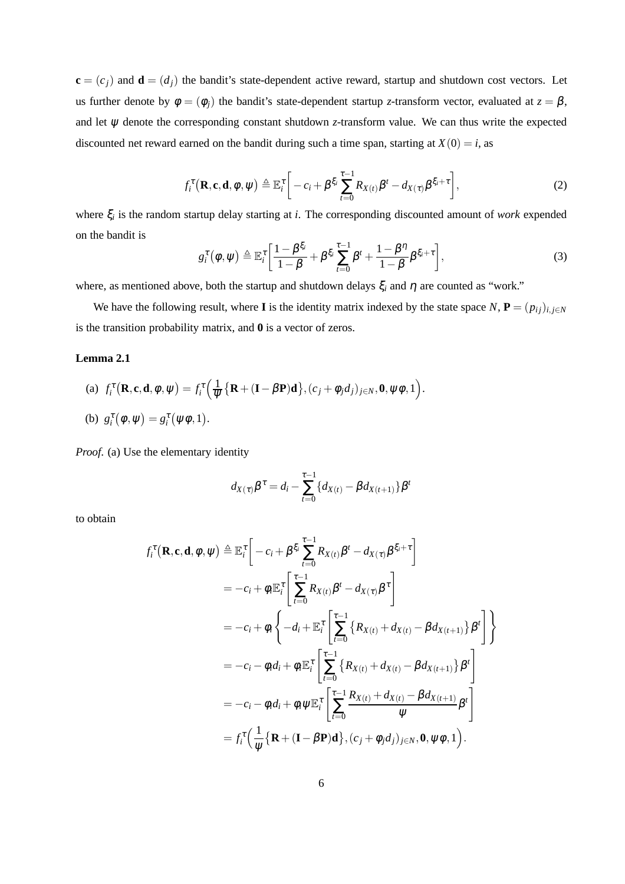$\mathbf{c} = (c_j)$  and  $\mathbf{d} = (d_j)$  the bandit's state-dependent active reward, startup and shutdown cost vectors. Let us further denote by  $\phi = (\phi_j)$  the bandit's state-dependent startup *z*-transform vector, evaluated at  $z = \beta$ , and let  $\psi$  denote the corresponding constant shutdown *z*-transform value. We can thus write the expected discounted net reward earned on the bandit during such a time span, starting at  $X(0) = i$ , as

$$
f_i^{\tau}(\mathbf{R}, \mathbf{c}, \mathbf{d}, \phi, \psi) \triangleq \mathbb{E}_i^{\tau} \bigg[ -c_i + \beta^{\xi_i} \sum_{t=0}^{\tau-1} R_{X(t)} \beta^t - d_{X(\tau)} \beta^{\xi_i + \tau} \bigg], \tag{2}
$$

where ξ*<sup>i</sup>* is the random startup delay starting at *i*. The corresponding discounted amount of *work* expended on the bandit is

$$
g_i^{\tau}(\phi,\psi) \triangleq \mathbb{E}_i^{\tau} \bigg[ \frac{1-\beta^{\xi_i}}{1-\beta} + \beta^{\xi_i} \sum_{t=0}^{\tau-1} \beta^t + \frac{1-\beta^{\eta}}{1-\beta} \beta^{\xi_i+\tau} \bigg], \tag{3}
$$

where, as mentioned above, both the startup and shutdown delays  $\xi$ <sub>*i*</sub> and  $\eta$  are counted as "work."

We have the following result, where **I** is the identity matrix indexed by the state space  $N$ ,  $P = (p_{ij})_{i,j \in N}$ is the transition probability matrix, and **0** is a vector of zeros.

#### **Lemma 2.1**

(a)  $f_i^{\tau}(\mathbf{R}, \mathbf{c}, \mathbf{d}, \phi, \psi) = f_i^{\tau}$  $\sqrt{1}$  $\frac{1}{\psi} \{ \mathbf{R} + (\mathbf{I} - \beta \mathbf{P}) \mathbf{d} \}, (c_j + \phi_j d_j)_{j \in N}, \mathbf{0}, \psi \phi, 1 \}.$ (b)  $g_i^{\tau}(\phi, \psi) = g_i^{\tau}(\psi \phi, 1).$ 

*Proof*. (a) Use the elementary identity

$$
d_{X(\tau)}\beta^{\tau} = d_i - \sum_{t=0}^{\tau-1} \{d_{X(t)} - \beta d_{X(t+1)}\}\beta^t
$$

to obtain

$$
f_i^{\tau}(\mathbf{R}, \mathbf{c}, \mathbf{d}, \phi, \psi) \triangleq \mathbb{E}_i^{\tau} \left[ -c_i + \beta^{\xi_i} \sum_{t=0}^{\tau-1} R_{X(t)} \beta^t - d_{X(\tau)} \beta^{\xi_i + \tau} \right]
$$
  
\n
$$
= -c_i + \phi_i \mathbb{E}_i^{\tau} \left[ \sum_{t=0}^{\tau-1} R_{X(t)} \beta^t - d_{X(\tau)} \beta^{\tau} \right]
$$
  
\n
$$
= -c_i + \phi_i \left\{ -d_i + \mathbb{E}_i^{\tau} \left[ \sum_{t=0}^{\tau-1} \left\{ R_{X(t)} + d_{X(t)} - \beta d_{X(t+1)} \right\} \beta^t \right\} \right\}
$$
  
\n
$$
= -c_i - \phi_i d_i + \phi_i \mathbb{E}_i^{\tau} \left[ \sum_{t=0}^{\tau-1} \left\{ R_{X(t)} + d_{X(t)} - \beta d_{X(t+1)} \right\} \beta^t \right]
$$
  
\n
$$
= -c_i - \phi_i d_i + \phi_i \psi \mathbb{E}_i^{\tau} \left[ \sum_{t=0}^{\tau-1} \frac{R_{X(t)} + d_{X(t)} - \beta d_{X(t+1)}}{\psi} \beta^t \right]
$$
  
\n
$$
= f_i^{\tau} \left( \frac{1}{\psi} \{ \mathbf{R} + (\mathbf{I} - \beta \mathbf{P}) \mathbf{d} \}, (c_j + \phi_j d_j)_{j \in N}, \mathbf{0}, \psi \phi, 1 \right).
$$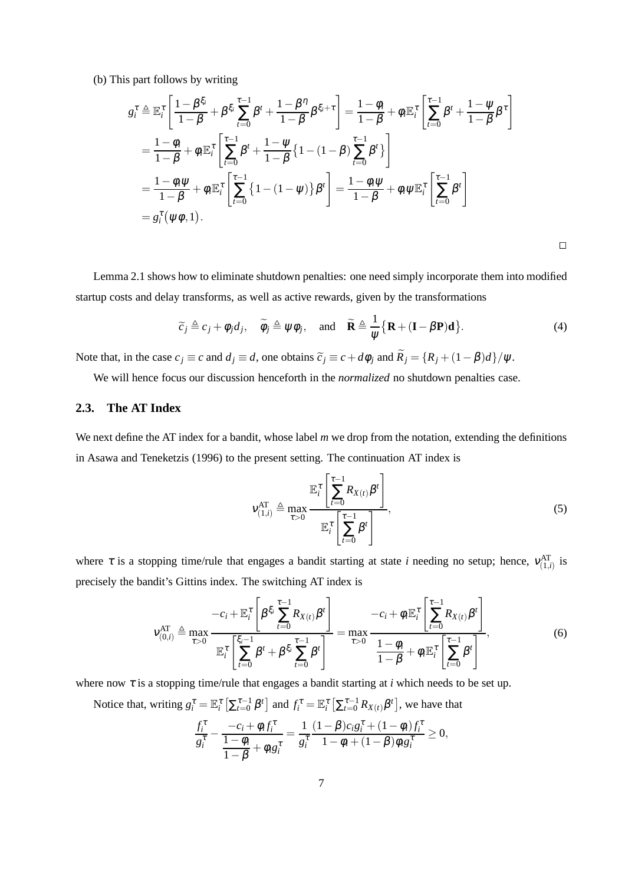(b) This part follows by writing

$$
g_i^{\tau} \triangleq \mathbb{E}_i^{\tau} \left[ \frac{1 - \beta^{\xi_i}}{1 - \beta} + \beta^{\xi_i} \sum_{t=0}^{\tau-1} \beta^t + \frac{1 - \beta^{\eta}}{1 - \beta} \beta^{\xi_i + \tau} \right] = \frac{1 - \phi_i}{1 - \beta} + \phi_i \mathbb{E}_i^{\tau} \left[ \sum_{t=0}^{\tau-1} \beta^t + \frac{1 - \psi}{1 - \beta} \beta^{\tau} \right]
$$
  
\n
$$
= \frac{1 - \phi_i}{1 - \beta} + \phi_i \mathbb{E}_i^{\tau} \left[ \sum_{t=0}^{\tau-1} \beta^t + \frac{1 - \psi}{1 - \beta} \{1 - (1 - \beta) \sum_{t=0}^{\tau-1} \beta^t \} \right]
$$
  
\n
$$
= \frac{1 - \phi_i \psi}{1 - \beta} + \phi_i \mathbb{E}_i^{\tau} \left[ \sum_{t=0}^{\tau-1} \{1 - (1 - \psi)\} \beta^t \right] = \frac{1 - \phi_i \psi}{1 - \beta} + \phi_i \psi \mathbb{E}_i^{\tau} \left[ \sum_{t=0}^{\tau-1} \beta^t \right]
$$
  
\n
$$
= g_i^{\tau} (\psi \phi, 1).
$$

 $\Box$ 

Lemma 2.1 shows how to eliminate shutdown penalties: one need simply incorporate them into modified startup costs and delay transforms, as well as active rewards, given by the transformations

$$
\widetilde{c}_j \triangleq c_j + \phi_j d_j, \quad \widetilde{\phi}_j \triangleq \psi \phi_j, \quad \text{and} \quad \widetilde{\mathbf{R}} \triangleq \frac{1}{\psi} \{ \mathbf{R} + (\mathbf{I} - \beta \mathbf{P}) \mathbf{d} \}.
$$
 (4)

Note that, in the case  $c_j \equiv c$  and  $d_j \equiv d$ , one obtains  $\tilde{c}_j \equiv c + d\phi_j$  and  $\tilde{R}_j = \{R_j + (1 - \beta)d\}/\psi$ .

We will hence focus our discussion henceforth in the *normalized* no shutdown penalties case.

## **2.3. The AT Index**

We next define the AT index for a bandit, whose label *m* we drop from the notation, extending the definitions in Asawa and Teneketzis (1996) to the present setting. The continuation AT index is

$$
\mathbf{v}_{(1,i)}^{\text{AT}} \triangleq \max_{\tau > 0} \frac{\mathbb{E}_{i}^{\tau} \left[ \sum_{t=0}^{\tau-1} R_{X(t)} \beta^{t} \right]}{\mathbb{E}_{i}^{\tau} \left[ \sum_{t=0}^{\tau-1} \beta^{t} \right]},\tag{5}
$$

where  $\tau$  is a stopping time/rule that engages a bandit starting at state *i* needing no setup; hence,  $v_{(1,i)}^{AT}$  is precisely the bandit's Gittins index. The switching AT index is

$$
v_{(0,i)}^{\text{AT}} \triangleq \max_{\tau>0} \frac{-c_i + \mathbb{E}_i^{\tau} \left[ \beta^{\xi_i} \sum_{t=0}^{\tau-1} R_{X(t)} \beta^t \right]}{\mathbb{E}_i^{\tau} \left[ \sum_{t=0}^{\xi_i-1} \beta^t + \beta^{\xi_i} \sum_{t=0}^{\tau-1} \beta^t \right]} = \max_{\tau>0} \frac{-c_i + \phi_i \mathbb{E}_i^{\tau} \left[ \sum_{t=0}^{\tau-1} R_{X(t)} \beta^t \right]}{\frac{1-\phi_i}{1-\beta} + \phi_i \mathbb{E}_i^{\tau} \left[ \sum_{t=0}^{\tau-1} \beta^t \right]},
$$
\n(6)

where now  $\tau$  is a stopping time/rule that engages a bandit starting at *i* which needs to be set up.

Notice that, writing 
$$
g_i^{\tau} = \mathbb{E}_i^{\tau} \left[ \sum_{t=0}^{\tau-1} \beta^t \right]
$$
 and  $f_i^{\tau} = \mathbb{E}_i^{\tau} \left[ \sum_{t=0}^{\tau-1} R_{X(t)} \beta^t \right]$ , we have that  
\n
$$
\frac{f_i^{\tau}}{g_i^{\tau}} - \frac{-c_i + \phi_i f_i^{\tau}}{1 - \phi_i} = \frac{1}{g_i^{\tau}} \frac{(1 - \beta) c_i g_i^{\tau} + (1 - \phi_i) f_i^{\tau}}{1 - \phi_i + (1 - \beta) \phi_i g_i^{\tau}} \ge 0,
$$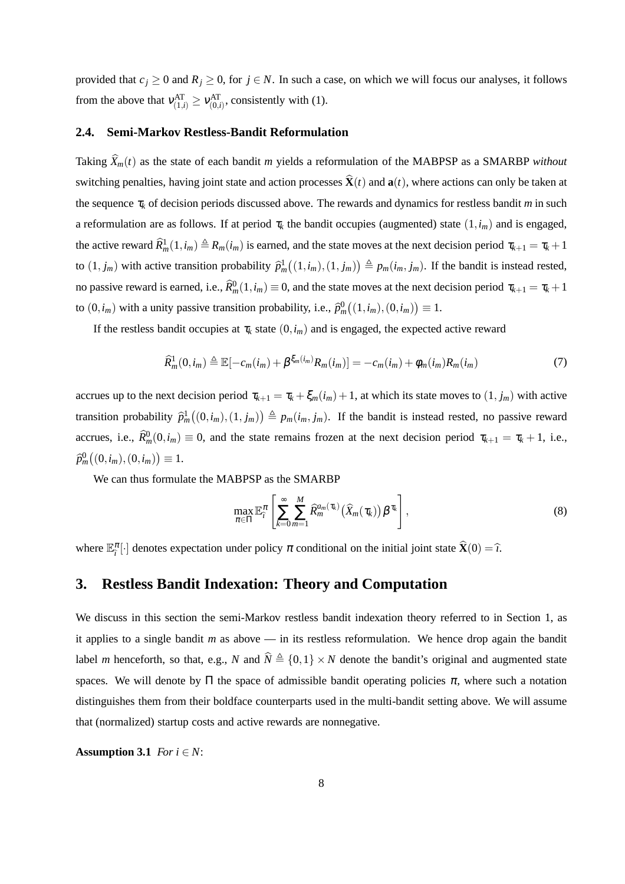provided that  $c_j \ge 0$  and  $R_j \ge 0$ , for  $j \in N$ . In such a case, on which we will focus our analyses, it follows from the above that  $v_{(1,i)}^{AT} \ge v_{(0,i)}^{AT}$ , consistently with (1).

#### **2.4. Semi-Markov Restless-Bandit Reformulation**

Taking  $\widehat{X}_m(t)$  as the state of each bandit *m* yields a reformulation of the MABPSP as a SMARBP *without* switching penalties, having joint state and action processes  $\hat{\mathbf{X}}(t)$  and  $\mathbf{a}(t)$ , where actions can only be taken at the sequence <sup>τ</sup>*<sup>k</sup>* of decision periods discussed above. The rewards and dynamics for restless bandit *m* in such a reformulation are as follows. If at period  $\tau_k$  the bandit occupies (augmented) state  $(1, i_m)$  and is engaged, the active reward  $\widehat{R}_m^1(1,i_m) \triangleq R_m(i_m)$  is earned, and the state moves at the next decision period  $\tau_{k+1} = \tau_k + 1$ to  $(1, j_m)$  with active transition probability  $\hat{p}_m^1((1, i_m), (1, j_m)) \triangleq p_m(i_m, j_m)$ . If the bandit is instead rested, no passive reward is earned, i.e.,  $\hat{R}_m^0(1,i_m) \equiv 0$ , and the state moves at the next decision period  $\tau_{k+1} = \tau_k + 1$ to  $(0, i_m)$  with a unity passive transition probability, i.e.,  $\hat{p}_m^0((1, i_m), (0, i_m)) \equiv 1$ .

If the restless bandit occupies at  $\tau_k$  state  $(0, i_m)$  and is engaged, the expected active reward

$$
\widehat{R}_m^1(0, i_m) \triangleq \mathbb{E}[-c_m(i_m) + \beta^{\xi_m(i_m)}R_m(i_m)] = -c_m(i_m) + \phi_m(i_m)R_m(i_m)
$$
(7)

accrues up to the next decision period  $\tau_{k+1} = \tau_k + \xi_m(i_m) + 1$ , at which its state moves to  $(1, j_m)$  with active transition probability  $\hat{p}_m^1((0, i_m), (1, j_m)) \triangleq p_m(i_m, j_m)$ . If the bandit is instead rested, no passive reward accrues, i.e.,  $\hat{R}_m^0(0, i_m) \equiv 0$ , and the state remains frozen at the next decision period  $\tau_{k+1} = \tau_k + 1$ , i.e.,  $\widehat{p}_m^0((0,i_m),(0,i_m)) \equiv 1.$ 

We can thus formulate the MABPSP as the SMARBP

$$
\max_{\pi \in \Pi} \mathbb{E}_{\hat{\tau}}^{\pi} \left[ \sum_{k=0}^{\infty} \sum_{m=1}^{M} \widehat{R}_{m}^{a_{m}(\tau_{k})} (\widehat{X}_{m}(\tau_{k})) \beta^{\tau_{k}} \right], \tag{8}
$$

where  $\mathbb{E}_{i}^{\pi}[\cdot]$  denotes expectation under policy  $\pi$  conditional on the initial joint state  $\hat{\mathbf{X}}(0) = \hat{\iota}$ .

## **3. Restless Bandit Indexation: Theory and Computation**

We discuss in this section the semi-Markov restless bandit indexation theory referred to in Section 1, as it applies to a single bandit *m* as above — in its restless reformulation. We hence drop again the bandit label *m* henceforth, so that, e.g., *N* and  $\hat{N} \triangleq \{0,1\} \times N$  denote the bandit's original and augmented state spaces. We will denote by  $\Pi$  the space of admissible bandit operating policies  $\pi$ , where such a notation distinguishes them from their boldface counterparts used in the multi-bandit setting above. We will assume that (normalized) startup costs and active rewards are nonnegative.

**Assumption 3.1** *For*  $i \in N$ :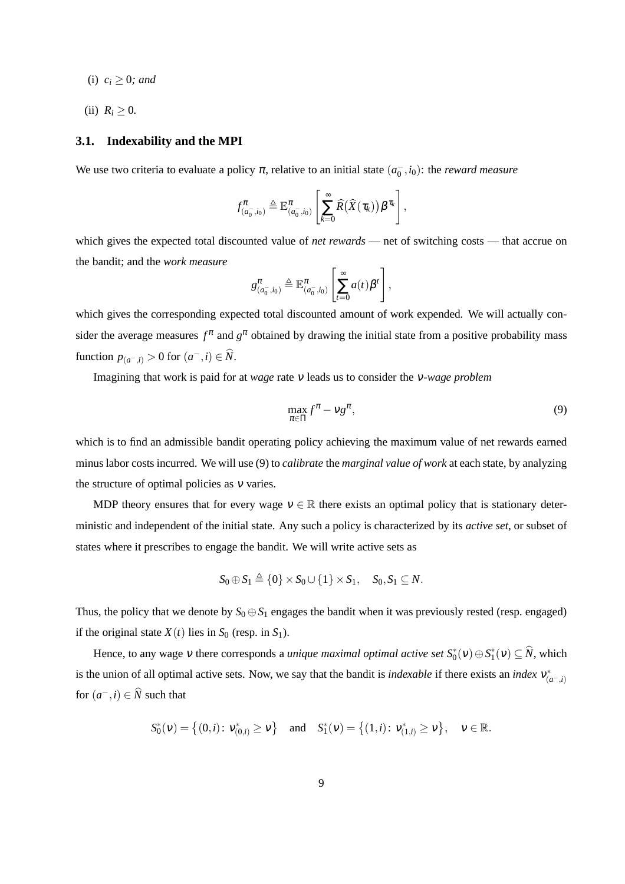- (i)  $c_i \geq 0$ *; and*
- (ii)  $R_i \geq 0$ .

#### **3.1. Indexability and the MPI**

We use two criteria to evaluate a policy  $\pi$ , relative to an initial state  $(a_0^-, i_0)$ : the *reward measure* 

$$
f_{(a_0^-,i_0)}^{\pi} \triangleq \mathbb{E}^{\pi}_{(a_0^-,i_0)}\left[\sum_{k=0}^{\infty} \widehat{R}(\widehat{X}(\tau_k))\beta^{\tau_k}\right],
$$

which gives the expected total discounted value of *net rewards* — net of switching costs — that accrue on the bandit; and the *work measure*

$$
g_{(a_0^-,i_0)}^{\pi} \triangleq \mathbb{E}_{(a_0^-,i_0)}^{\pi} \left[ \sum_{t=0}^{\infty} a(t) \beta^t \right],
$$

which gives the corresponding expected total discounted amount of work expended. We will actually consider the average measures  $f^{\pi}$  and  $g^{\pi}$  obtained by drawing the initial state from a positive probability mass function  $p_{(a^-,i)} > 0$  for  $(a^-,i) \in \hat{N}$ .

Imagining that work is paid for at *wage* rate <sup>ν</sup> leads us to consider the <sup>ν</sup>*-wage problem*

$$
\max_{\pi \in \Pi} f^{\pi} - \nu g^{\pi},\tag{9}
$$

which is to find an admissible bandit operating policy achieving the maximum value of net rewards earned minus labor costs incurred. We will use (9) to *calibrate* the *marginal value of work* at each state, by analyzing the structure of optimal policies as  $v$  varies.

MDP theory ensures that for every wage  $v \in \mathbb{R}$  there exists an optimal policy that is stationary deterministic and independent of the initial state. Any such a policy is characterized by its *active set*, or subset of states where it prescribes to engage the bandit. We will write active sets as

$$
S_0 \oplus S_1 \triangleq \{0\} \times S_0 \cup \{1\} \times S_1, \quad S_0, S_1 \subseteq N.
$$

Thus, the policy that we denote by  $S_0 \oplus S_1$  engages the bandit when it was previously rested (resp. engaged) if the original state  $X(t)$  lies in  $S_0$  (resp. in  $S_1$ ).

Hence, to any wage  $v$  there corresponds a *unique maximal optimal active set*  $S_0^*(v) \oplus S_1^*(v) \subseteq \hat{N}$ , which is the union of all optimal active sets. Now, we say that the bandit is *indexable* if there exists an *index*  $v_{(a^-,i)}^*$ for  $(a^-, i) \in \widehat{N}$  such that

$$
S_0^*(v) = \left\{ (0, i) \colon v_{(0, i)}^* \ge v \right\} \quad \text{and} \quad S_1^*(v) = \left\{ (1, i) \colon v_{(1, i)}^* \ge v \right\}, \quad v \in \mathbb{R}.
$$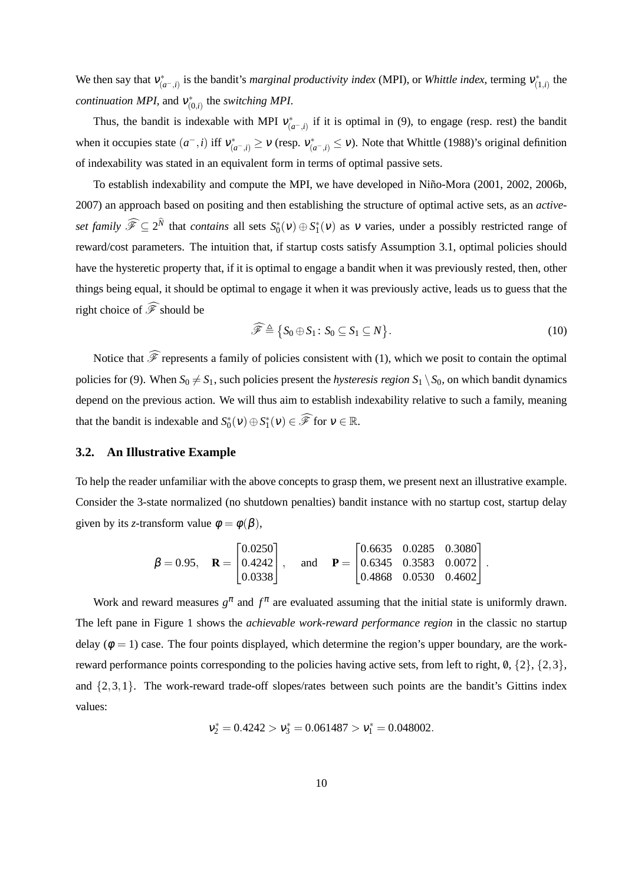We then say that  $v_{(a^-,i)}^*$  is the bandit's *marginal productivity index* (MPI), or *Whittle index*, terming  $v_{(1,i)}^*$  the *continuation MPI*, and  $v_{(0,i)}^*$  the *switching MPI*.

Thus, the bandit is indexable with MPI  $v^*_{(a^-,i)}$  if it is optimal in (9), to engage (resp. rest) the bandit when it occupies state  $(a^-,i)$  iff  $v_{(a^-,i)}^* \ge v$  (resp.  $v_{(a^-,i)}^* \le v$ ). Note that Whittle (1988)'s original definition of indexability was stated in an equivalent form in terms of optimal passive sets.

To establish indexability and compute the MPI, we have developed in Niño-Mora (2001, 2002, 2006b, 2007) an approach based on positing and then establishing the structure of optimal active sets, as an *activeset family*  $\widehat{\mathscr{F}} \subseteq 2^N$  that *contains* all sets  $S_0^*(v) \oplus S_1^*(v)$  as v varies, under a possibly restricted range of reward/cost parameters. The intuition that, if startup costs satisfy Assumption 3.1, optimal policies should have the hysteretic property that, if it is optimal to engage a bandit when it was previously rested, then, other things being equal, it should be optimal to engage it when it was previously active, leads us to guess that the right choice of  $\widehat{\mathscr{F}}$  should be

$$
\widehat{\mathscr{F}} \triangleq \{ S_0 \oplus S_1 \colon S_0 \subseteq S_1 \subseteq N \}.
$$
\n(10)

Notice that  $\widehat{\mathscr{F}}$  represents a family of policies consistent with (1), which we posit to contain the optimal policies for (9). When  $S_0 \neq S_1$ , such policies present the *hysteresis region*  $S_1 \setminus S_0$ , on which bandit dynamics depend on the previous action. We will thus aim to establish indexability relative to such a family, meaning that the bandit is indexable and  $S_0^*(v) \oplus S_1^*(v) \in \widehat{\mathscr{F}}$  for  $v \in \mathbb{R}$ .

#### **3.2. An Illustrative Example**

To help the reader unfamiliar with the above concepts to grasp them, we present next an illustrative example. Consider the 3-state normalized (no shutdown penalties) bandit instance with no startup cost, startup delay given by its *z*-transform value  $\phi = \phi(\beta)$ ,

$$
\boldsymbol{\beta} = 0.95, \quad \mathbf{R} = \begin{bmatrix} 0.0250 \\ 0.4242 \\ 0.0338 \end{bmatrix}, \quad \text{and} \quad \mathbf{P} = \begin{bmatrix} 0.6635 & 0.0285 & 0.3080 \\ 0.6345 & 0.3583 & 0.0072 \\ 0.4868 & 0.0530 & 0.4602 \end{bmatrix}.
$$

Work and reward measures  $g^{\pi}$  and  $f^{\pi}$  are evaluated assuming that the initial state is uniformly drawn. The left pane in Figure 1 shows the *achievable work-reward performance region* in the classic no startup delay ( $\phi = 1$ ) case. The four points displayed, which determine the region's upper boundary, are the workreward performance points corresponding to the policies having active sets, from left to right,  $\emptyset$ ,  $\{2\}$ ,  $\{2,3\}$ , and  $\{2,3,1\}$ . The work-reward trade-off slopes/rates between such points are the bandit's Gittins index values:

$$
v_2^* = 0.4242 > v_3^* = 0.061487 > v_1^* = 0.048002.
$$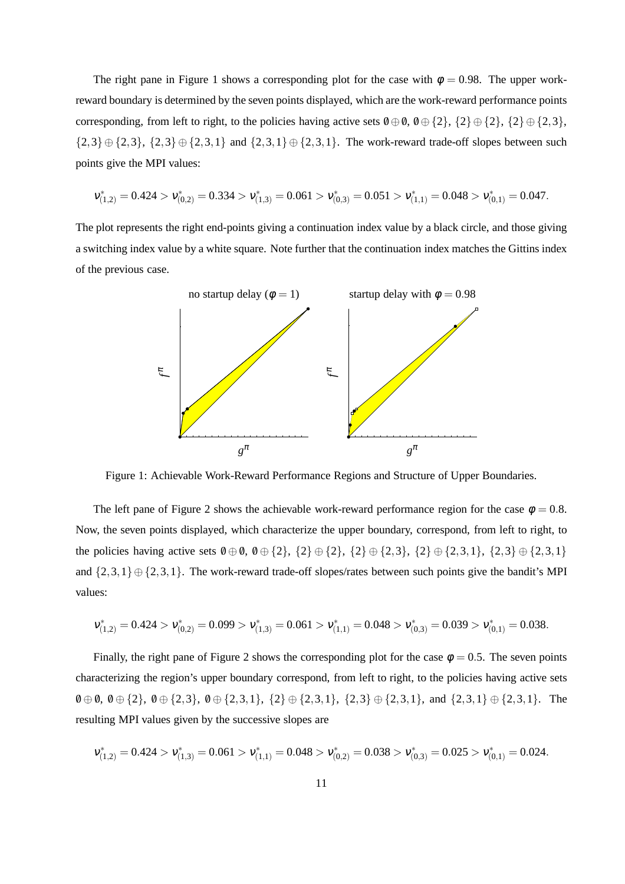The right pane in Figure 1 shows a corresponding plot for the case with  $\phi = 0.98$ . The upper workreward boundary is determined by the seven points displayed, which are the work-reward performance points corresponding, from left to right, to the policies having active sets  $\emptyset \oplus \emptyset$ ,  $\emptyset \oplus \{2\}$ ,  $\{2\} \oplus \{2\}$ ,  $\{2\} \oplus \{2,3\}$ ,  ${2,3} \oplus {2,3}$ ,  ${2,3} \oplus {2,3,1}$  and  ${2,3,1} \oplus {2,3,1}$ . The work-reward trade-off slopes between such points give the MPI values:

$$
\nu_{(1,2)}^*=0.424>\nu_{(0,2)}^*=0.334>\nu_{(1,3)}^*=0.061>\nu_{(0,3)}^*=0.051>\nu_{(1,1)}^*=0.048>\nu_{(0,1)}^*=0.047.
$$

The plot represents the right end-points giving a continuation index value by a black circle, and those giving a switching index value by a white square. Note further that the continuation index matches the Gittins index of the previous case.



Figure 1: Achievable Work-Reward Performance Regions and Structure of Upper Boundaries.

The left pane of Figure 2 shows the achievable work-reward performance region for the case  $\phi = 0.8$ . Now, the seven points displayed, which characterize the upper boundary, correspond, from left to right, to the policies having active sets  $0 \oplus 0$ ,  $0 \oplus \{2\}$ ,  $\{2\} \oplus \{2\}$ ,  $\{2\} \oplus \{2,3\}$ ,  $\{2\} \oplus \{2,3,1\}$ ,  $\{2,3\} \oplus \{2,3,1\}$ and  $\{2,3,1\} \oplus \{2,3,1\}$ . The work-reward trade-off slopes/rates between such points give the bandit's MPI values:

$$
\nu_{(1,2)}^*=0.424>\nu_{(0,2)}^*=0.099>\nu_{(1,3)}^*=0.061>\nu_{(1,1)}^*=0.048>\nu_{(0,3)}^*=0.039>\nu_{(0,1)}^*=0.038.
$$

Finally, the right pane of Figure 2 shows the corresponding plot for the case  $\phi = 0.5$ . The seven points characterizing the region's upper boundary correspond, from left to right, to the policies having active sets  $\emptyset \oplus \emptyset$ ,  $\emptyset \oplus \{2\}$ ,  $\emptyset \oplus \{2,3\}$ ,  $\emptyset \oplus \{2,3,1\}$ ,  $\{2\} \oplus \{2,3,1\}$ ,  $\{2,3\} \oplus \{2,3,1\}$ , and  $\{2,3,1\} \oplus \{2,3,1\}$ . The resulting MPI values given by the successive slopes are

$$
\nu_{(1,2)}^*=0.424>\nu_{(1,3)}^*=0.061>\nu_{(1,1)}^*=0.048>\nu_{(0,2)}^*=0.038>\nu_{(0,3)}^*=0.025>\nu_{(0,1)}^*=0.024.
$$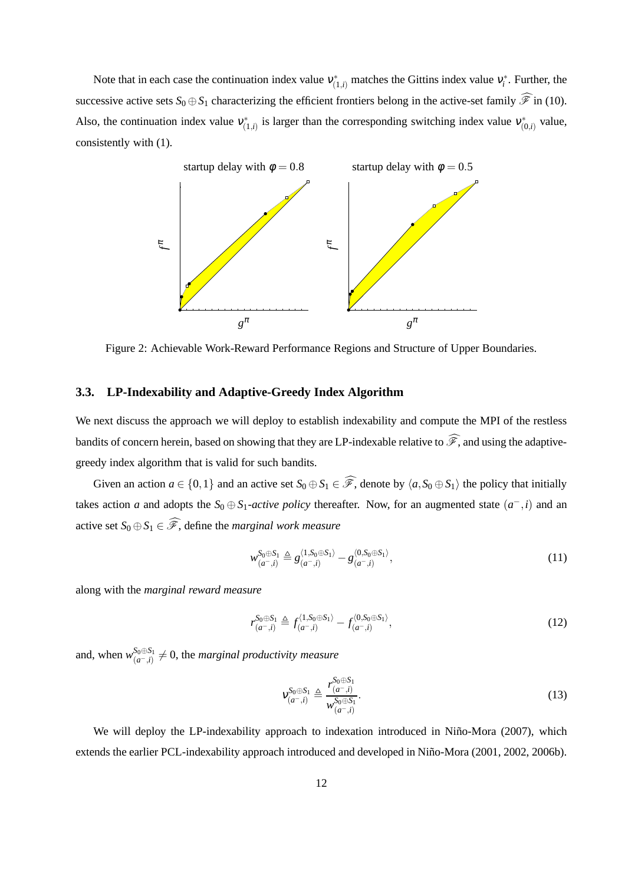Note that in each case the continuation index value  $v_{(1,i)}^*$  matches the Gittins index value  $v_i^*$ . Further, the successive active sets  $S_0 \oplus S_1$  characterizing the efficient frontiers belong in the active-set family  $\widehat{\mathscr{F}}$  in (10). Also, the continuation index value  $v_{(1,i)}^*$  is larger than the corresponding switching index value  $v_{(0,i)}^*$  value, consistently with (1).



Figure 2: Achievable Work-Reward Performance Regions and Structure of Upper Boundaries.

#### **3.3. LP-Indexability and Adaptive-Greedy Index Algorithm**

We next discuss the approach we will deploy to establish indexability and compute the MPI of the restless bandits of concern herein, based on showing that they are LP-indexable relative to  $\widehat{\mathscr{F}}$ , and using the adaptivegreedy index algorithm that is valid for such bandits.

Given an action  $a \in \{0,1\}$  and an active set  $S_0 \oplus S_1 \in \widehat{\mathscr{F}}$ , denote by  $\langle a, S_0 \oplus S_1 \rangle$  the policy that initially takes action *a* and adopts the  $S_0 \oplus S_1$ -*active policy* thereafter. Now, for an augmented state  $(a^-, i)$  and an active set  $S_0 \oplus S_1 \in \widehat{\mathscr{F}}$ , define the *marginal work measure* 

$$
w_{(a^-,i)}^{S_0 \oplus S_1} \triangleq g_{(a^-,i)}^{\langle 1,S_0 \oplus S_1 \rangle} - g_{(a^-,i)}^{\langle 0,S_0 \oplus S_1 \rangle}, \tag{11}
$$

along with the *marginal reward measure*

$$
r_{(a^-,i)}^{S_0 \oplus S_1} \triangleq f_{(a^-,i)}^{\langle 1, S_0 \oplus S_1 \rangle} - f_{(a^-,i)}^{\langle 0, S_0 \oplus S_1 \rangle},\tag{12}
$$

and, when  $w_{(a-i)}^{S_0 \oplus S_1}$  $\frac{S_0 \oplus S_1}{(a^-, i)} \neq 0$ , the *marginal productivity measure* 

$$
v_{(a^-,i)}^{S_0 \oplus S_1} \triangleq \frac{r_{(a^-,i)}^{S_0 \oplus S_1}}{w_{(a^-,i)}^{S_0 \oplus S_1}}.
$$
\n(13)

We will deploy the LP-indexability approach to indexation introduced in Niño-Mora (2007), which extends the earlier PCL-indexability approach introduced and developed in Niño-Mora (2001, 2002, 2006b).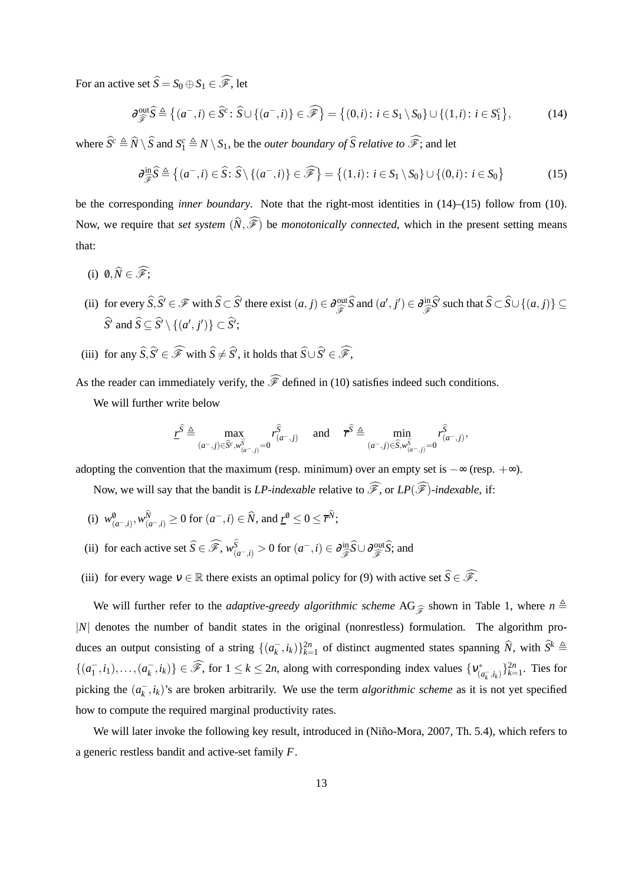For an active set  $\widehat{S} = S_0 \oplus S_1 \in \widehat{\mathscr{F}}$ , let

$$
\partial_{\widehat{\mathscr{F}}}^{\text{out}} \widehat{S} \triangleq \left\{ (a^-, i) \in \widehat{S}^c : \widehat{S} \cup \{ (a^-, i) \} \in \widehat{\mathscr{F}} \right\} = \left\{ (0, i) : i \in S_1 \setminus S_0 \right\} \cup \{ (1, i) : i \in S_1^c \},\tag{14}
$$

where  $\widehat{S}^c \triangleq \widehat{N} \setminus \widehat{S}$  and  $S_1^c \triangleq N \setminus S_1$ , be the *outer boundary of*  $\widehat{S}$  *relative to*  $\widehat{\mathscr{F}}$ ; and let

$$
\partial_{\widehat{\mathscr{F}}}^{\text{in}} \widehat{S} \triangleq \left\{ (a^-, i) \in \widehat{S} \colon \widehat{S} \setminus \{ (a^-, i) \} \in \widehat{\mathscr{F}} \right\} = \left\{ (1, i) \colon i \in S_1 \setminus S_0 \right\} \cup \left\{ (0, i) \colon i \in S_0 \right\} \tag{15}
$$

be the corresponding *inner boundary*. Note that the right-most identities in (14)–(15) follow from (10). Now, we require that *set system*  $(\widehat{N},\widehat{\mathscr{F}})$  be *monotonically connected*, which in the present setting means that:

- (i)  $\emptyset, \widehat{N} \in \widehat{\mathscr{F}}$ :
- (ii) for every  $\widehat{S}, \widehat{S}' \in \mathcal{F}$  with  $\widehat{S} \subset \widehat{S}'$  there exist  $(a, j) \in \partial_{\widehat{S}}^{\text{out}} \widehat{S}$  and  $(a', j') \in \partial_{\widehat{S}}^{\text{in}} \widehat{S}'$  such that  $\widehat{S} \subset \widehat{S} \cup \{(a, j)\} \subseteq$  $S'$  and  $S \subseteq S' \setminus \{(a', j')\} \subset S'$ ;
- (iii) for any  $\widehat{S}, \widehat{S} \in \widehat{\mathscr{F}}$  with  $\widehat{S} \neq \widehat{S}$ , it holds that  $\widehat{S} \cup \widehat{S} \in \widehat{\mathscr{F}}$ ,

As the reader can immediately verify, the  $\widehat{\mathscr{F}}$  defined in (10) satisfies indeed such conditions.

We will further write below

$$
\underline{r}^{\widehat{S}} \triangleq \max_{(a^-,j) \in \widehat{S}^c, w_{(a^-,j)}^{\widehat{S}}} r_{(a^-,j)}^{\widehat{S}} \quad \text{ and } \quad \overline{r}^{\widehat{S}} \triangleq \min_{(a^-,j) \in \widehat{S}, w_{(a^-,j)}^{\widehat{S}} = 0} r_{(a^-,j)}^{\widehat{S}},
$$

adopting the convention that the maximum (resp. minimum) over an empty set is  $-\infty$  (resp.  $+\infty$ ).

Now, we will say that the bandit is *LP-indexable* relative to  $\widehat{\mathscr{F}}$ , or *LP*( $\widehat{\mathscr{F}}$ )*-indexable*, if:

- (i)  $w_{(a^-,i)}^0, w_{(a^-,i)}^N \ge 0$  for  $(a^-,i) \in \hat{N}$ , and  $\underline{r}^0 \le 0 \le \overline{r}^N$ ;
- (ii) for each active set  $\widehat{S} \in \widehat{\mathscr{F}}$ ,  $w_{(a^-,\hat{i})}^S > 0$  for  $(a^-,\hat{i}) \in \partial_{\widehat{\mathscr{F}}}^{\text{in}} \widehat{S} \cup \partial_{\widehat{\mathscr{F}}}^{\text{out}} \widehat{S}$ ; and
- (iii) for every wage  $v \in \mathbb{R}$  there exists an optimal policy for (9) with active set  $\widehat{S} \in \widehat{\mathscr{F}}$ .

We will further refer to the *adaptive-greedy algorithmic scheme* AG<sub> $\hat{\mathscr{F}}$  shown in Table 1, where  $n \triangleq$ </sub> |*N*| denotes the number of bandit states in the original (nonrestless) formulation. The algorithm produces an output consisting of a string  $\{(a_k^-, i_k)\}_{k=1}^{2n}$  of distinct augmented states spanning  $\widehat{N}$ , with  $\widehat{S}^k$   $\triangleq$  $\{(a_1^-, i_1), \ldots, (a_k^-, i_k)\}\in \widehat{\mathscr{F}}$ , for  $1 \leq k \leq 2n$ , along with corresponding index values  $\{v_{(i)}^+, v_{(i)}^+ \}$  $\binom{k}{(a_k, i_k)}$ } $\binom{2n}{k=1}$ . Ties for picking the  $(a_k^-, i_k)$ 's are broken arbitrarily. We use the term *algorithmic scheme* as it is not yet specified how to compute the required marginal productivity rates.

We will later invoke the following key result, introduced in (Niño-Mora, 2007, Th. 5.4), which refers to a generic restless bandit and active-set family *F*.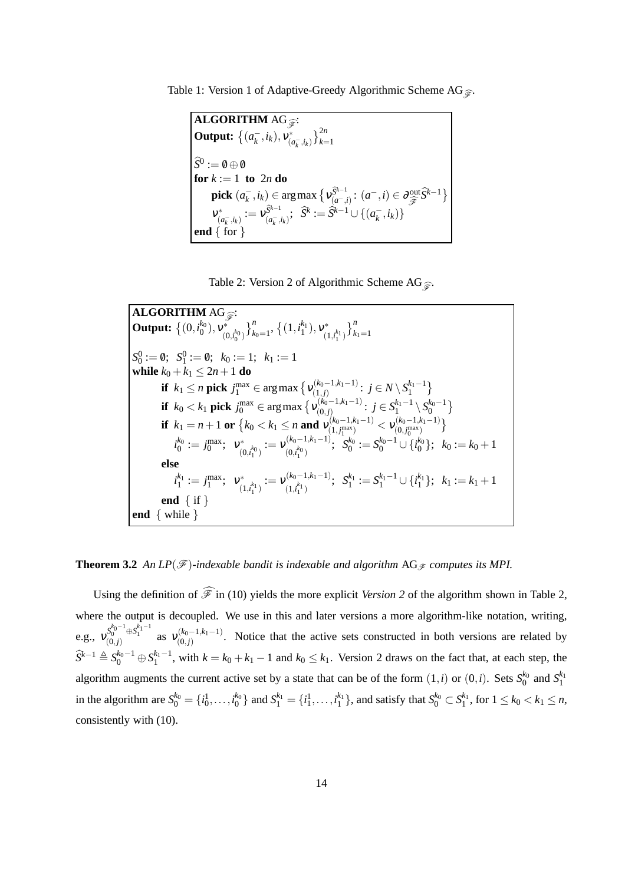Table 1: Version 1 of Adaptive-Greedy Algorithmic Scheme AG $\widehat{\mathcal{F}}$ .

**ALGORITHM** AG<sub>F</sub>: **Output:**  $\{(a_k^-, i_k), v_{(i)}^*\}$  $\left\{\begin{matrix}k \\ (a_k^-, i_k)\end{matrix}\right\}_{k=1}^{2n}$  $S^0 := \emptyset \oplus \emptyset$ **for**  $k := 1$  **to**  $2n$  **do pick**  $(a_k^-, i_k) \in \arg \max_{\mathbf{\hat{S}} \in \mathbb{R}^n} \{ V_{(a^-,i)}^{\mathbf{\hat{S}}^{k-1}} : (a^-, i) \in \partial_{\widehat{\mathcal{F}}}^{\text{out}} \widehat{S}^{k-1} \}$ ν ∗  $\hat{y}^{\ast}_{(a^{-}_{k}, i_{k})} := \nu_{(a^{-}_{k}, i_{k})}^{\widetilde{S}^{k-1}}; \ \ \widehat{S}^{k} := \widehat{S}^{k-1} \cup \{(a^{-}_{k}, i_{k})\}$ **end** { for }

Table 2: Version 2 of Algorithmic Scheme AG $\widehat{\mathcal{F}}$ .

**ALGORITHM** AG<sub>F</sub>: **Output:**  $\{(0, i_0^{k_0}), v_{(0)}^*\}$  $(0, i_0^{k_0})$  $\}_{k_0=1}^n$ ,  $\{(1,i_1^{k_1}),v_{(1)}^*$  $(1,i_1^{k_1})$  $\}^{n}_{k_{1}=1}$  $S_0^0 := \emptyset; \ \ S_1^0 := \emptyset; \ \ k_0 := 1; \ \ k_1 := 1$ **while**  $k_0 + k_1 \leq 2n + 1$  **do if**  $k_1 \le n$  **pick**  $j_1^{\max} \in \argmax \left\{ v_{(1,j)}^{(k_0-1,k_1-1)} \right\}$  $\{a_{(1,j)}^{(k_0-1,k_1-1)}: j \in N \setminus S_1^{k_1-1}\}$ **if**  $k_0 < k_1$  **pick**  $j_0^{\text{max}} \in \argmax \left\{ v_{(0,j)}^{(k_0-1,k_1-1)} \right\}$  $j \in S_1^{k_1-1} \setminus S_0^{k_0-1}$ **if**  $k_1 = n + 1$  **or**  $\{k_0 < k_1 \le n \text{ and } v_{(1, j^{\max})}^{(k_0 - 1, k_1 - 1)}\}$  $\frac{1}{1} \left( \begin{smallmatrix} (k_0-1, k_1-1) \ (1, j_1^{\max}) \end{smallmatrix} \right) < \mathcal{V}^{(k_0-1, k_1-1)}_{(0, j_0^{\max})}$  $\binom{(k_0-1,k_1-1)}{(0,j_0^{\max})}$  $i_0^{k_0} := j_0^{\max}; \;\; \mathsf{v}_{\text{\tiny (1)}}^*$  $\begin{aligned} \mathcal{C}^{*}_{(0,i_{1}^{k_{0}})}:=\mathcal{V}_{(0,i_{1}^{k_{0}})}^{(k_{0}-1,k_{1}-1)} \end{aligned}$  $(S_{(0, t_1^{k_0})}^{(k_0-1, k_1-1)}; S_0^{k_0} := S_0^{k_0-1} \cup \{t_0^{k_0}\}; k_0 := k_0+1$ **else**  $i_1^{k_1} := j_1^{\max}; \;\; \mathbf{v}_{\alpha}^*$  $\begin{aligned} \mathcal{C}^*_{(1,i_1^{k_1})}:=\mathcal{V}_{(1,i_1^{k_1})}^{(k_0-1,k_1-1)} \end{aligned}$  $(S_{(1, k_1-1)}^{(k_0-1, k_1-1)}; S_1^{k_1} := S_1^{k_1-1} \cup \{i_1^{k_1}\}; k_1 := k_1+1$ **end** { if } **end** { while }

#### **Theorem 3.2** An  $LP(\mathcal{F})$ *-indexable bandit is indexable and algorithm* AG<sub> $\mathcal{F}$  computes its MPI.</sub>

Using the definition of  $\widehat{\mathscr{F}}$  in (10) yields the more explicit *Version 2* of the algorithm shown in Table 2, where the output is decoupled. We use in this and later versions a more algorithm-like notation, writing, e.g.,  $v_{(0,j)}^{S_0^{k_0-1} \oplus S_1^{k_1-1}}$  as  $v_{(0,j)}^{(k_0-1,k_1-1)}$  $(0, j)$ <br> $(0, j)$ . Notice that the active sets constructed in both versions are related by  $\widehat{S}^{k-1} \triangleq S_0^{k_0-1} \oplus S_1^{k_1-1}$ , with  $k = k_0 + k_1 - 1$  and  $k_0 \le k_1$ . Version 2 draws on the fact that, at each step, the algorithm augments the current active set by a state that can be of the form  $(1,i)$  or  $(0,i)$ . Sets  $S_0^{k_0}$  and  $S_1^{k_1}$ in the algorithm are  $S_0^{k_0} = \{i_0^1, \ldots, i_0^{k_0}\}$  and  $S_1^{k_1} = \{i_1^1, \ldots, i_1^{k_1}\}$ , and satisfy that  $S_0^{k_0} \subset S_1^{k_1}$ , for  $1 \le k_0 < k_1 \le n$ , consistently with (10).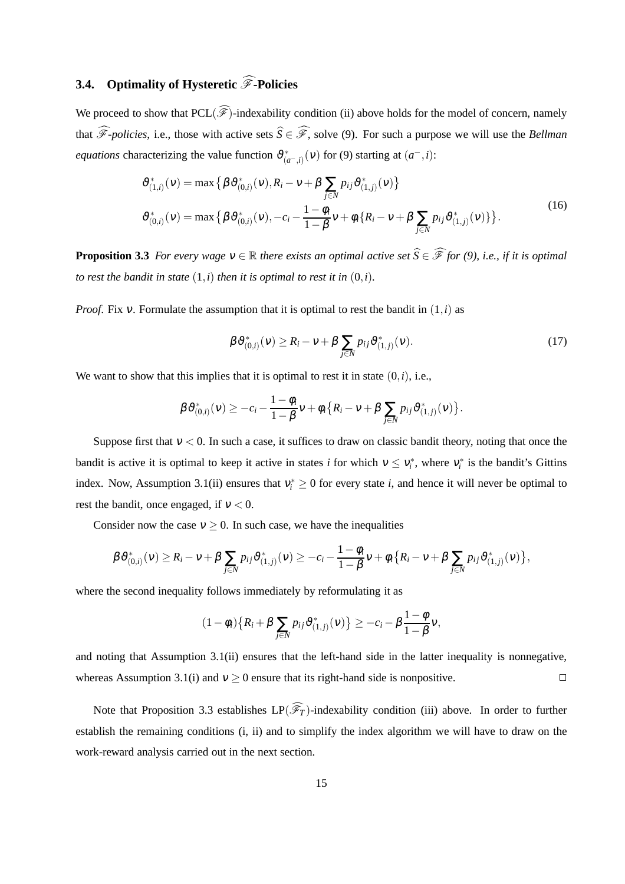# **3.4.** Optimality of Hysteretic  $\widehat{\mathscr{F}}$ -Policies

We proceed to show that  $PCL(\widehat{\mathscr{F}})$ -indexability condition (ii) above holds for the model of concern, namely that  $\widehat{\mathscr{F}}$ -policies, i.e., those with active sets  $\widehat{S} \in \widehat{\mathscr{F}}$ , solve (9). For such a purpose we will use the *Bellman equations* characterizing the value function  $\vartheta^*_{(a^-,i)}(v)$  for (9) starting at  $(a^-,i)$ :

$$
\vartheta_{(1,i)}^*(v) = \max \left\{ \beta \vartheta_{(0,i)}^*(v), R_i - v + \beta \sum_{j \in N} p_{ij} \vartheta_{(1,j)}^*(v) \right\}
$$
  

$$
\vartheta_{(0,i)}^*(v) = \max \left\{ \beta \vartheta_{(0,i)}^*(v), -c_i - \frac{1 - \phi_i}{1 - \beta} v + \phi_i \{R_i - v + \beta \sum_{j \in N} p_{ij} \vartheta_{(1,j)}^*(v) \} \right\}.
$$
  
(16)

**Proposition 3.3** *For every wage*  $v \in \mathbb{R}$  *there exists an optimal active set*  $\widehat{S} \in \widehat{\mathscr{F}}$  *for (9), i.e., if it is optimal to rest the bandit in state*  $(1,i)$  *then it is optimal to rest it in*  $(0,i)$ *.* 

*Proof.* Fix  $v$ . Formulate the assumption that it is optimal to rest the bandit in  $(1,i)$  as

$$
\beta \,\vartheta_{(0,i)}^*(v) \ge R_i - v + \beta \sum_{j \in N} p_{ij} \,\vartheta_{(1,j)}^*(v). \tag{17}
$$

We want to show that this implies that it is optimal to rest it in state  $(0, i)$ , i.e.,

$$
\beta \vartheta_{(0,i)}^*(v) \geq -c_i - \frac{1-\phi_i}{1-\beta}v + \phi_i \big\{ R_i - v + \beta \sum_{j \in N} p_{ij} \vartheta_{(1,j)}^*(v) \big\}.
$$

Suppose first that  $v < 0$ . In such a case, it suffices to draw on classic bandit theory, noting that once the bandit is active it is optimal to keep it active in states *i* for which  $v \le v_i^*$ , where  $v_i^*$  is the bandit's Gittins index. Now, Assumption 3.1(ii) ensures that  $v_i^* \geq 0$  for every state *i*, and hence it will never be optimal to rest the bandit, once engaged, if  $v < 0$ .

Consider now the case  $v \ge 0$ . In such case, we have the inequalities

$$
\beta \vartheta_{(0,i)}^*(v) \geq R_i - v + \beta \sum_{j \in N} p_{ij} \vartheta_{(1,j)}^*(v) \geq -c_i - \frac{1 - \phi_i}{1 - \beta} v + \phi_i \big\{ R_i - v + \beta \sum_{j \in N} p_{ij} \vartheta_{(1,j)}^*(v) \big\},\,
$$

where the second inequality follows immediately by reformulating it as

$$
(1 - \phi_i) \{ R_i + \beta \sum_{j \in N} p_{ij} \vartheta_{(1,j)}^*(v) \} \geq -c_i - \beta \frac{1 - \phi}{1 - \beta} v,
$$

and noting that Assumption 3.1(ii) ensures that the left-hand side in the latter inequality is nonnegative, whereas Assumption 3.1(i) and  $v \ge 0$  ensure that its right-hand side is nonpositive.

Note that Proposition 3.3 establishes  $LP(\widehat{\mathscr{F}}_T)$ -indexability condition (iii) above. In order to further establish the remaining conditions (i, ii) and to simplify the index algorithm we will have to draw on the work-reward analysis carried out in the next section.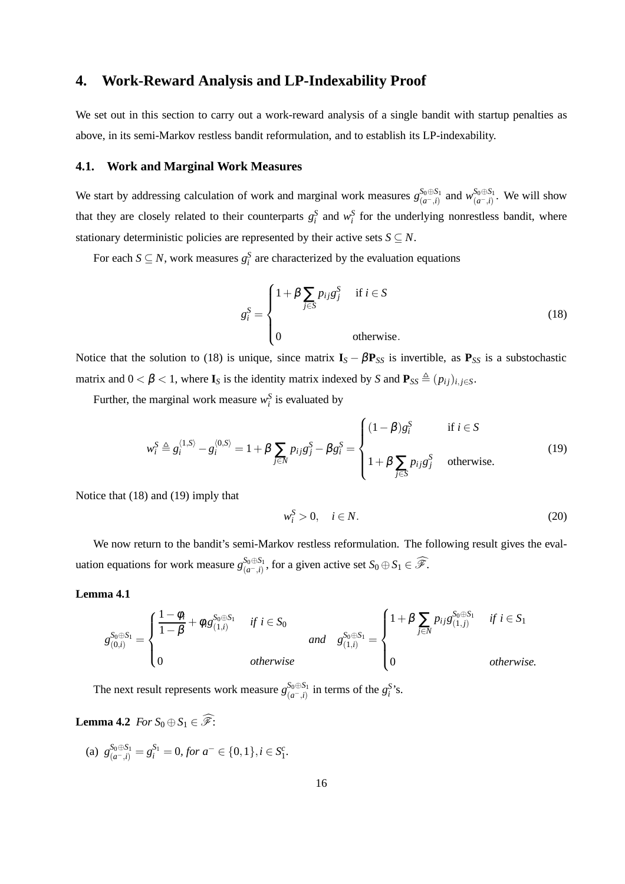## **4. Work-Reward Analysis and LP-Indexability Proof**

We set out in this section to carry out a work-reward analysis of a single bandit with startup penalties as above, in its semi-Markov restless bandit reformulation, and to establish its LP-indexability.

#### **4.1. Work and Marginal Work Measures**

We start by addressing calculation of work and marginal work measures  $g_{(a-i)}^{S_0 \oplus S_1}$  $\int_{(a^-,i)}^{S_0 \oplus S_1}$  and  $w_{(a^-,i)}^{S_0 \oplus S_1}$  $\int_{(a^-,i)}^{0.0}$  We will show that they are closely related to their counterparts  $g_i^S$  and  $w_i^S$  for the underlying nonrestless bandit, where stationary deterministic policies are represented by their active sets  $S \subseteq N$ .

For each  $S \subseteq N$ , work measures  $g_i^S$  are characterized by the evaluation equations

$$
g_i^S = \begin{cases} 1 + \beta \sum_{j \in S} p_{ij} g_j^S & \text{if } i \in S \\ 0 & \text{otherwise.} \end{cases}
$$
 (18)

Notice that the solution to (18) is unique, since matrix  $I_s - \beta P_{SS}$  is invertible, as  $P_{SS}$  is a substochastic matrix and  $0 < \beta < 1$ , where  $I_S$  is the identity matrix indexed by *S* and  $P_{SS} \triangleq (p_{ij})_{i,j \in S}$ .

Further, the marginal work measure  $w_i^S$  is evaluated by

$$
w_i^S \triangleq g_i^{\langle 1, S \rangle} - g_i^{\langle 0, S \rangle} = 1 + \beta \sum_{j \in N} p_{ij} g_j^S - \beta g_i^S = \begin{cases} (1 - \beta) g_i^S & \text{if } i \in S \\ 1 + \beta \sum_{j \in S} p_{ij} g_j^S & \text{otherwise.} \end{cases}
$$
(19)

Notice that (18) and (19) imply that

$$
w_i^S > 0, \quad i \in N. \tag{20}
$$

We now return to the bandit's semi-Markov restless reformulation. The following result gives the evaluation equations for work measure  $g_{(a-i)}^{S_0 \oplus S_1}$  $S_0 \oplus S_1 \atop (a^-,i)$ , for a given active set  $S_0 \oplus S_1 \in \widehat{\mathscr{F}}$ .

**Lemma 4.1**

$$
g_{(0,i)}^{S_0 \oplus S_1} = \begin{cases} \frac{1 - \phi_i}{1 - \beta} + \phi_i g_{(1,i)}^{S_0 \oplus S_1} & \text{if } i \in S_0 \\ 0 & \text{otherwise} \end{cases} \quad \text{and} \quad g_{(1,i)}^{S_0 \oplus S_1} = \begin{cases} 1 + \beta \sum_{j \in N} p_{ij} g_{(1,j)}^{S_0 \oplus S_1} & \text{if } i \in S_1 \\ 0 & \text{otherwise.} \end{cases}
$$

The next result represents work measure  $g_{(a-i)}^{S_0 \oplus S_1}$  $\int_{(a^-,\,i)}^{S_0 \oplus S_1}$  in terms of the  $g_i^S$ 's.

**Lemma 4.2** *For*  $S_0 \oplus S_1 \in \widehat{\mathcal{F}}$ :

(a)  $g_{(a^-,i)}^{S_0 \oplus S_1} = g_i^{S_1} = 0$ , for  $a^- \in \{0,1\}$ ,  $i \in S_1^c$ .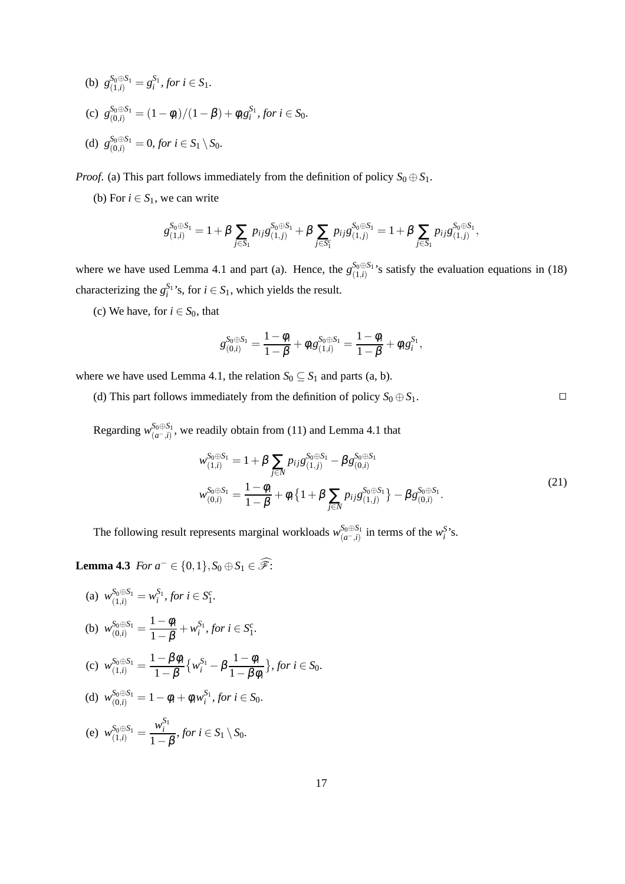\n- (b) 
$$
g_{(1,i)}^{S_0 \oplus S_1} = g_i^{S_1}
$$
, for  $i \in S_1$ .
\n- (c)  $g_{(0,i)}^{S_0 \oplus S_1} = (1 - \phi_i)/(1 - \beta) + \phi_i g_i^{S_1}$ , for  $i \in S_0$ .
\n- (d)  $g_{(0,i)}^{S_0 \oplus S_1} = 0$ , for  $i \in S_1 \setminus S_0$ .
\n

*Proof.* (a) This part follows immediately from the definition of policy  $S_0 \oplus S_1$ .

(b) For  $i \in S_1$ , we can write

$$
g_{(1,i)}^{S_0 \oplus S_1} = 1 + \beta \sum_{j \in S_1} p_{ij} g_{(1,j)}^{S_0 \oplus S_1} + \beta \sum_{j \in S_1^c} p_{ij} g_{(1,j)}^{S_0 \oplus S_1} = 1 + \beta \sum_{j \in S_1} p_{ij} g_{(1,j)}^{S_0 \oplus S_1},
$$

where we have used Lemma 4.1 and part (a). Hence, the  $g_{(1,i)}^{S_0 \oplus S_1}$  $\sum_{(1,i)}^{30\oplus 31}$ 's satisfy the evaluation equations in (18) characterizing the  $g_i^{S_1}$ 's, for  $i \in S_1$ , which yields the result.

(c) We have, for  $i \in S_0$ , that

$$
g_{(0,i)}^{S_0 \oplus S_1} = \frac{1 - \phi_i}{1 - \beta} + \phi_i g_{(1,i)}^{S_0 \oplus S_1} = \frac{1 - \phi_i}{1 - \beta} + \phi_i g_i^{S_1},
$$

where we have used Lemma 4.1, the relation  $S_0 \subseteq S_1$  and parts (a, b).

(d) This part follows immediately from the definition of policy  $S_0 \oplus S_1$ .

Regarding  $w_{(q-i)}^{S_0 \oplus S_1}$  $\int_{a^{-1}}^{a_0} a^{-1}$ , we readily obtain from (11) and Lemma 4.1 that

$$
w_{(1,i)}^{S_0 \oplus S_1} = 1 + \beta \sum_{j \in N} p_{ij} g_{(1,j)}^{S_0 \oplus S_1} - \beta g_{(0,i)}^{S_0 \oplus S_1}
$$
  

$$
w_{(0,i)}^{S_0 \oplus S_1} = \frac{1 - \phi_i}{1 - \beta} + \phi_i \{ 1 + \beta \sum_{j \in N} p_{ij} g_{(1,j)}^{S_0 \oplus S_1} \} - \beta g_{(0,i)}^{S_0 \oplus S_1}.
$$

$$
(21)
$$

The following result represents marginal workloads  $w_{(a=1)}^{S_0 \oplus S_1}$  $\int_{(a^-, i)}^{S_0 \oplus S_1}$  in terms of the *w*<sup>S</sup>'s.

**Lemma 4.3** *For*  $a^-$  ∈ {0, 1},  $S_0 \oplus S_1$  ∈  $\widehat{\mathscr{F}}$ :

(a) 
$$
w_{(1,i)}^{S_0 \oplus S_1} = w_i^{S_1}
$$
, for  $i \in S_1^c$ .  
\n(b)  $w_{(0,i)}^{S_0 \oplus S_1} = \frac{1 - \phi_i}{1 - \beta} + w_i^{S_1}$ , for  $i \in S_1^c$ .  
\n(c)  $w_{(1,i)}^{S_0 \oplus S_1} = \frac{1 - \beta \phi_i}{1 - \beta} \{w_i^{S_1} - \beta \frac{1 - \phi_i}{1 - \beta \phi_i}\}$ , for  $i \in S_0$ .  
\n(d)  $w_{(0,i)}^{S_0 \oplus S_1} = 1 - \phi_i + \phi_i w_i^{S_1}$ , for  $i \in S_0$ .

(e) 
$$
w_{(1,i)}^{S_0 \oplus S_1} = \frac{w_i^{S_1}}{1-\beta}
$$
, for  $i \in S_1 \setminus S_0$ .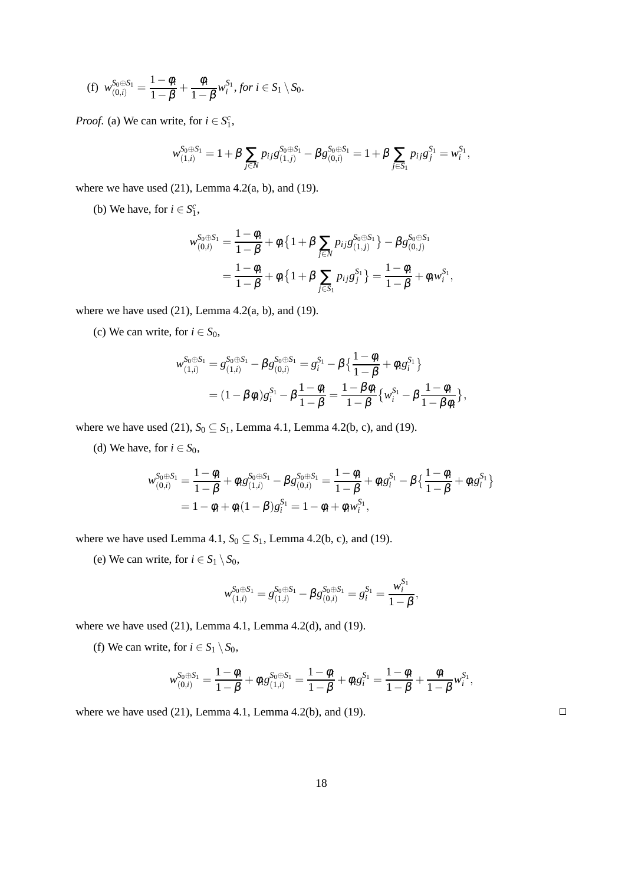(f) 
$$
w_{(0,i)}^{S_0 \oplus S_1} = \frac{1 - \phi_i}{1 - \beta} + \frac{\phi_i}{1 - \beta} w_i^{S_1}, \text{ for } i \in S_1 \setminus S_0.
$$

*Proof.* (a) We can write, for  $i \in S_1^c$ ,

$$
w_{(1,i)}^{S_0 \oplus S_1} = 1 + \beta \sum_{j \in N} p_{ij} g_{(1,j)}^{S_0 \oplus S_1} - \beta g_{(0,i)}^{S_0 \oplus S_1} = 1 + \beta \sum_{j \in S_1} p_{ij} g_j^{S_1} = w_i^{S_1},
$$

where we have used  $(21)$ , Lemma 4.2 $(a, b)$ , and  $(19)$ .

(b) We have, for  $i \in S_1^c$ ,

$$
w_{(0,i)}^{S_0 \oplus S_1} = \frac{1 - \phi_i}{1 - \beta} + \phi_i \{ 1 + \beta \sum_{j \in N} p_{ij} g_{(1,j)}^{S_0 \oplus S_1} \} - \beta g_{(0,j)}^{S_0 \oplus S_1}
$$
  
= 
$$
\frac{1 - \phi_i}{1 - \beta} + \phi_i \{ 1 + \beta \sum_{j \in S_1} p_{ij} g_j^{S_1} \} = \frac{1 - \phi_i}{1 - \beta} + \phi_i w_i^{S_1},
$$

where we have used  $(21)$ , Lemma 4.2 $(a, b)$ , and  $(19)$ .

(c) We can write, for  $i \in S_0$ ,

$$
w_{(1,i)}^{S_0 \oplus S_1} = g_{(1,i)}^{S_0 \oplus S_1} - \beta g_{(0,i)}^{S_0 \oplus S_1} = g_i^{S_1} - \beta \left\{ \frac{1 - \phi_i}{1 - \beta} + \phi_i g_i^{S_1} \right\}
$$
  
= 
$$
(1 - \beta \phi_i) g_i^{S_1} - \beta \frac{1 - \phi_i}{1 - \beta} = \frac{1 - \beta \phi_i}{1 - \beta} \left\{ w_i^{S_1} - \beta \frac{1 - \phi_i}{1 - \beta \phi_i} \right\},
$$

where we have used (21),  $S_0 \subseteq S_1$ , Lemma 4.1, Lemma 4.2(b, c), and (19).

(d) We have, for  $i \in S_0$ ,

$$
w_{(0,i)}^{S_0 \oplus S_1} = \frac{1 - \phi_i}{1 - \beta} + \phi_i g_{(1,i)}^{S_0 \oplus S_1} - \beta g_{(0,i)}^{S_0 \oplus S_1} = \frac{1 - \phi_i}{1 - \beta} + \phi_i g_i^{S_1} - \beta \left\{ \frac{1 - \phi_i}{1 - \beta} + \phi_i g_i^{S_1} \right\}
$$
  
=  $1 - \phi_i + \phi_i (1 - \beta) g_i^{S_1} = 1 - \phi_i + \phi_i w_i^{S_1},$ 

where we have used Lemma 4.1,  $S_0 \subseteq S_1$ , Lemma 4.2(b, c), and (19).

(e) We can write, for  $i \in S_1 \setminus S_0$ ,

$$
w_{(1,i)}^{S_0 \oplus S_1} = g_{(1,i)}^{S_0 \oplus S_1} - \beta g_{(0,i)}^{S_0 \oplus S_1} = g_i^{S_1} = \frac{w_i^{S_1}}{1 - \beta},
$$

where we have used  $(21)$ , Lemma 4.1, Lemma 4.2 $(d)$ , and  $(19)$ .

(f) We can write, for  $i \in S_1 \setminus S_0$ ,

$$
w_{(0,i)}^{S_0 \oplus S_1} = \frac{1 - \phi_i}{1 - \beta} + \phi_i g_{(1,i)}^{S_0 \oplus S_1} = \frac{1 - \phi_i}{1 - \beta} + \phi_i g_i^{S_1} = \frac{1 - \phi_i}{1 - \beta} + \frac{\phi_i}{1 - \beta} w_i^{S_1},
$$

where we have used (21), Lemma 4.1, Lemma 4.2(b), and (19).  $\Box$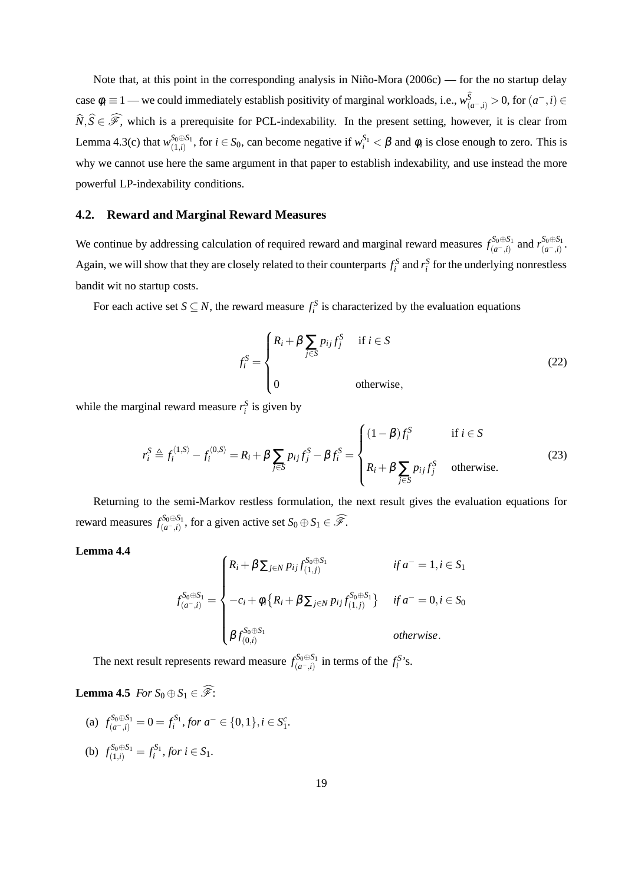Note that, at this point in the corresponding analysis in Niño-Mora (2006c) — for the no startup delay case  $\phi_i \equiv 1$  — we could immediately establish positivity of marginal workloads, i.e.,  $w^S_{(a^-,i)} > 0$ , for  $(a^-,i) \in$  $\widehat{N},\widehat{S}\in\widehat{\mathscr{F}}$ , which is a prerequisite for PCL-indexability. In the present setting, however, it is clear from Lemma 4.3(c) that  $w_{(1,i)}^{S_0 \oplus S_1}$  $S_0 \oplus S_1$ , for  $i \in S_0$ , can become negative if  $w_i^{S_1} < \beta$  and  $\phi_i$  is close enough to zero. This is why we cannot use here the same argument in that paper to establish indexability, and use instead the more powerful LP-indexability conditions.

#### **4.2. Reward and Marginal Reward Measures**

We continue by addressing calculation of required reward and marginal reward measures  $f_{(a-1)}^{\delta_0 \oplus S_1}$ *s*<sup>5</sup><sub>0</sub>⊕*S*<sub>1</sub></sub> and *r*<sup>*S*<sub>0</sub>⊕*S*<sub>1</sub></sup> (*a*<sup>−</sup>,*i*)</sub> (*a*−,*i*) . Again, we will show that they are closely related to their counterparts  $f_i^S$  and  $r_i^S$  for the underlying nonrestless bandit wit no startup costs.

For each active set  $S \subseteq N$ , the reward measure  $f_i^S$  is characterized by the evaluation equations

$$
f_i^S = \begin{cases} R_i + \beta \sum_{j \in S} p_{ij} f_j^S & \text{if } i \in S \\ 0 & \text{otherwise,} \end{cases}
$$
 (22)

while the marginal reward measure  $r_i^S$  is given by

$$
r_i^S \triangleq f_i^{\langle 1, S \rangle} - f_i^{\langle 0, S \rangle} = R_i + \beta \sum_{j \in S} p_{ij} f_j^S - \beta f_i^S = \begin{cases} (1 - \beta) f_i^S & \text{if } i \in S \\ R_i + \beta \sum_{j \in S} p_{ij} f_j^S & \text{otherwise.} \end{cases}
$$
(23)

Returning to the semi-Markov restless formulation, the next result gives the evaluation equations for reward measures  $f_{(a-i)}^{\mathcal{S}_0 \oplus \mathcal{S}_1}$  $S_0 \oplus S_1$ , for a given active set  $S_0 \oplus S_1 \in \widehat{\mathscr{F}}$ .

#### **Lemma 4.4**

$$
f_{(a^-,i)}^{S_0 \oplus S_1} = \begin{cases} R_i + \beta \sum_{j \in N} p_{ij} f_{(1,j)}^{S_0 \oplus S_1} & \text{if } a^=1, i \in S_1 \\ -c_i + \phi_i \{ R_i + \beta \sum_{j \in N} p_{ij} f_{(1,j)}^{S_0 \oplus S_1} \} & \text{if } a^=0, i \in S_0 \\ \beta f_{(0,i)}^{S_0 \oplus S_1} & \text{otherwise.} \end{cases}
$$

The next result represents reward measure  $f_{(a-i)}^{\mathcal{S}_0 \oplus \mathcal{S}_1}$  $\int_{(a^-, i)}^{S_0 \oplus S_1}$  in terms of the  $f_i^{S}$ 's.

**Lemma 4.5** *For*  $S_0 \oplus S_1 \in \widehat{\mathscr{F}}$ :

(a)  $f_{(a^-,i)}^{S_0 \oplus S_1} = 0 = f_i^{S_1}, \text{ for } a^- \in \{0,1\}, i \in S_1^c.$ (b)  $f_{(1,i)}^{S_0 \oplus S_1} = f_i^{S_1}$ , for  $i \in S_1$ .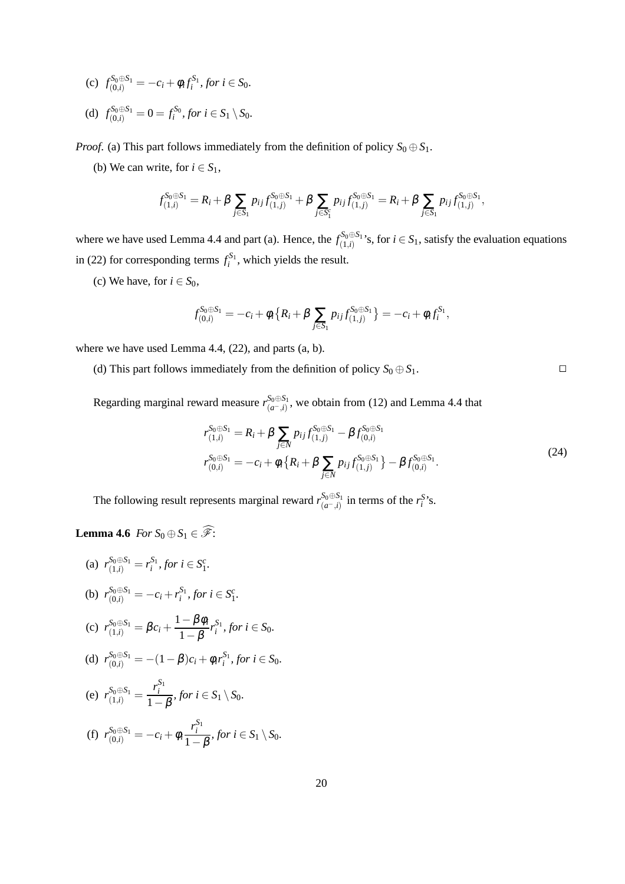- (c)  $f_{(0,i)}^{S_0 \oplus S_1} = -c_i + \phi_i f_i^{S_1}$ , for  $i \in S_0$ .
- (d)  $f_{(0,i)}^{S_0 \oplus S_1} = 0 = f_i^{S_0},$  for  $i \in S_1 \setminus S_0$ .

*Proof.* (a) This part follows immediately from the definition of policy  $S_0 \oplus S_1$ .

(b) We can write, for  $i \in S_1$ ,

$$
f_{(1,i)}^{S_0 \oplus S_1} = R_i + \beta \sum_{j \in S_1} p_{ij} f_{(1,j)}^{S_0 \oplus S_1} + \beta \sum_{j \in S_1^c} p_{ij} f_{(1,j)}^{S_0 \oplus S_1} = R_i + \beta \sum_{j \in S_1} p_{ij} f_{(1,j)}^{S_0 \oplus S_1},
$$

where we have used Lemma 4.4 and part (a). Hence, the  $f_{(1,i)}^{\mathcal{S}_0 \oplus \mathcal{S}_1}$  $S_{(1,i)}^{0\oplus 5}$ 's, for  $i \in S_1$ , satisfy the evaluation equations in (22) for corresponding terms  $f_i^{S_1}$ , which yields the result.

(c) We have, for  $i \in S_0$ ,

$$
f_{(0,i)}^{S_0 \oplus S_1} = -c_i + \phi_i \{ R_i + \beta \sum_{j \in S_1} p_{ij} f_{(1,j)}^{S_0 \oplus S_1} \} = -c_i + \phi_i f_i^{S_1},
$$

where we have used Lemma 4.4, (22), and parts (a, b).

(d) This part follows immediately from the definition of policy  $S_0 \oplus S_1$ .

Regarding marginal reward measure  $r_{(a-i)}^{\mathcal{S}_0 \oplus \mathcal{S}_1}$  $\binom{50\oplus 51}{(a^-,i)}$ , we obtain from (12) and Lemma 4.4 that

$$
r_{(1,i)}^{S_0 \oplus S_1} = R_i + \beta \sum_{j \in N} p_{ij} f_{(1,j)}^{S_0 \oplus S_1} - \beta f_{(0,i)}^{S_0 \oplus S_1}
$$
  
\n
$$
r_{(0,i)}^{S_0 \oplus S_1} = -c_i + \phi_i \{ R_i + \beta \sum_{j \in N} p_{ij} f_{(1,j)}^{S_0 \oplus S_1} \} - \beta f_{(0,i)}^{S_0 \oplus S_1}.
$$
\n(24)

The following result represents marginal reward  $r_{(a}^{\mathcal{S}_0 \oplus \mathcal{S}_1)}$  $\int_{(a^-,\,i)}^{S_0 \oplus S_1}$  in terms of the *r*<sup>S</sup>'s.

**Lemma 4.6** *For*  $S_0 \oplus S_1 \in \widehat{\mathscr{F}}$ :

(a) 
$$
r_{(1,i)}^{S_0 \oplus S_1} = r_i^{S_1}
$$
, for  $i \in S_1^c$ .  
\n(b)  $r_{(0,i)}^{S_0 \oplus S_1} = -c_i + r_i^{S_1}$ , for  $i \in S_1^c$ .  
\n(c)  $r_{(1,i)}^{S_0 \oplus S_1} = \beta c_i + \frac{1 - \beta \phi_i}{1 - \beta} r_i^{S_1}$ , for  $i \in S_0$ .  
\n(d)  $r_{(0,i)}^{S_0 \oplus S_1} = -(1 - \beta)c_i + \phi_i r_i^{S_1}$ , for  $i \in S_0$ .  
\n(e)  $r_{(1,i)}^{S_0 \oplus S_1} = \frac{r_i^{S_1}}{1 - \beta}$ , for  $i \in S_1 \setminus S_0$ .

(f) 
$$
r_{(0,i)}^{S_0 \oplus S_1} = -c_i + \phi_i \frac{r_i^{S_1}}{1-\beta}
$$
, for  $i \in S_1 \setminus S_0$ .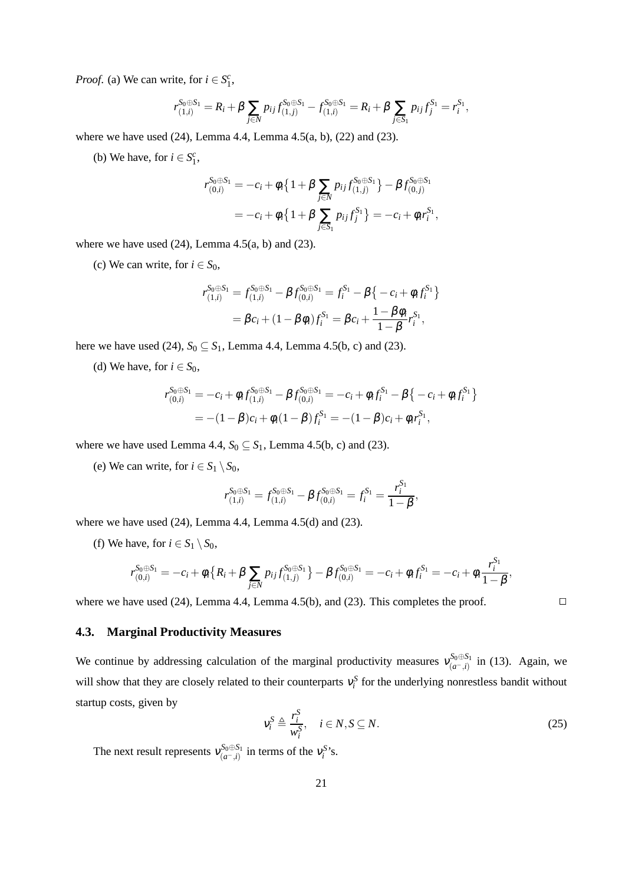*Proof.* (a) We can write, for  $i \in S_1^c$ ,

$$
r_{(1,i)}^{S_0 \oplus S_1} = R_i + \beta \sum_{j \in \mathbb{N}} p_{ij} f_{(1,j)}^{S_0 \oplus S_1} - f_{(1,i)}^{S_0 \oplus S_1} = R_i + \beta \sum_{j \in S_1} p_{ij} f_j^{S_1} = r_i^{S_1},
$$

where we have used (24), Lemma 4.4, Lemma 4.5(a, b), (22) and (23).

(b) We have, for  $i \in S_1^c$ ,

$$
r_{(0,i)}^{S_0 \oplus S_1} = -c_i + \phi_i \left\{ 1 + \beta \sum_{j \in N} p_{ij} f_{(1,j)}^{S_0 \oplus S_1} \right\} - \beta f_{(0,j)}^{S_0 \oplus S_1}
$$
  
=  $-c_i + \phi_i \left\{ 1 + \beta \sum_{j \in S_1} p_{ij} f_j^{S_1} \right\} = -c_i + \phi_i r_i^{S_1},$ 

where we have used  $(24)$ , Lemma 4.5 $(a, b)$  and  $(23)$ .

(c) We can write, for  $i \in S_0$ ,

$$
r_{(1,i)}^{S_0 \oplus S_1} = f_{(1,i)}^{S_0 \oplus S_1} - \beta f_{(0,i)}^{S_0 \oplus S_1} = f_i^{S_1} - \beta \{-c_i + \phi_i f_i^{S_1}\}
$$
  
=  $\beta c_i + (1 - \beta \phi_i) f_i^{S_1} = \beta c_i + \frac{1 - \beta \phi_i}{1 - \beta} r_i^{S_1},$ 

here we have used (24),  $S_0 \subseteq S_1$ , Lemma 4.4, Lemma 4.5(b, c) and (23).

(d) We have, for  $i \in S_0$ ,

$$
r_{(0,i)}^{S_0 \oplus S_1} = -c_i + \phi_i f_{(1,i)}^{S_0 \oplus S_1} - \beta f_{(0,i)}^{S_0 \oplus S_1} = -c_i + \phi_i f_i^{S_1} - \beta \{-c_i + \phi_i f_i^{S_1}\}
$$
  
= 
$$
-(1 - \beta)c_i + \phi_i (1 - \beta) f_i^{S_1} = -(1 - \beta)c_i + \phi_i r_i^{S_1},
$$

where we have used Lemma 4.4,  $S_0 \subseteq S_1$ , Lemma 4.5(b, c) and (23).

(e) We can write, for  $i \in S_1 \setminus S_0$ ,

$$
r_{(1,i)}^{S_0 \oplus S_1} = f_{(1,i)}^{S_0 \oplus S_1} - \beta f_{(0,i)}^{S_0 \oplus S_1} = f_i^{S_1} = \frac{r_i^{S_1}}{1 - \beta},
$$

where we have used (24), Lemma 4.4, Lemma 4.5(d) and (23).

(f) We have, for  $i \in S_1 \setminus S_0$ ,

$$
r_{(0,i)}^{S_0 \oplus S_1} = -c_i + \phi_i \big\{ R_i + \beta \sum_{j \in N} p_{ij} f_{(1,j)}^{S_0 \oplus S_1} \big\} - \beta f_{(0,i)}^{S_0 \oplus S_1} = -c_i + \phi_i f_i^{S_1} = -c_i + \phi_i \frac{r_i^{S_1}}{1 - \beta},
$$

where we have used (24), Lemma 4.4, Lemma 4.5(b), and (23). This completes the proof.  $\Box$ 

#### **4.3. Marginal Productivity Measures**

We continue by addressing calculation of the marginal productivity measures  $v_{(a-1)}^{S_0 \oplus S_1}$ <sup>50⊕51</sup>, in (13). Again, we will show that they are closely related to their counterparts  $v_i^S$  for the underlying nonrestless bandit without startup costs, given by

$$
v_i^S \triangleq \frac{r_i^S}{w_i^S}, \quad i \in N, S \subseteq N. \tag{25}
$$

The next result represents  $v_{(a-i)}^{S_0 \oplus S_1}$  $\int_{(a^-, i)}^{S_0 \oplus S_1}$  in terms of the  $v_i^{S}$ 's.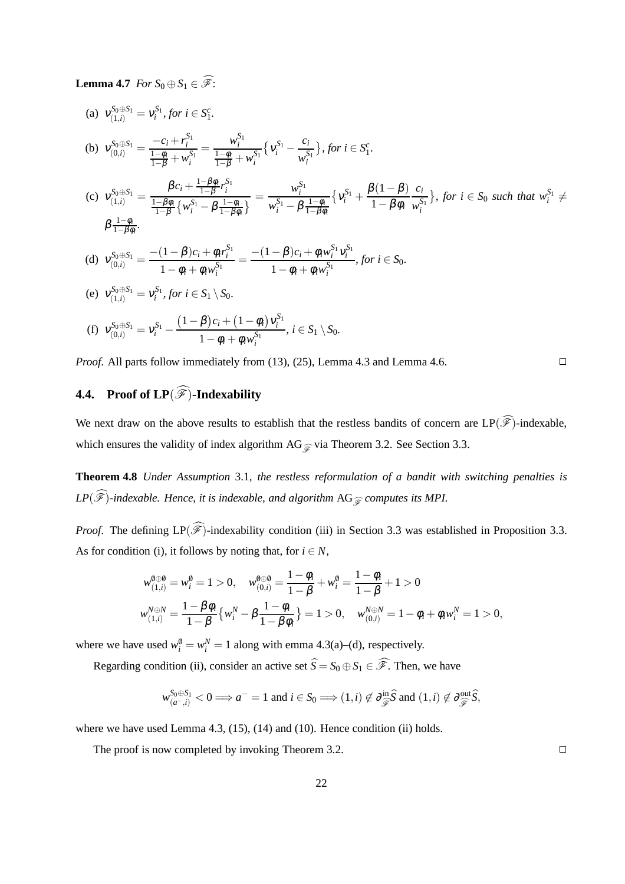**Lemma 4.7** *For*  $S_0 \oplus S_1 \in \widehat{\mathscr{F}}$ :

(a) 
$$
v_{(1,i)}^{S_0 \oplus S_1} = v_i^{S_1}, \text{ for } i \in S_1^c.
$$
  
\n(b) 
$$
v_{(0,i)}^{S_0 \oplus S_1} = \frac{-c_i + r_i^{S_1}}{\frac{1-\phi_i}{1-\beta} + w_i^{S_1}} = \frac{w_i^{S_1}}{\frac{1-\phi_i}{1-\beta} + w_i^{S_1}} \{v_i^{S_1} - \frac{c_i}{w_i^{S_1}}\}, \text{ for } i \in S_1^c.
$$
  
\n(c) 
$$
v_{(1,i)}^{S_0 \oplus S_1} = \frac{\beta c_i + \frac{1-\beta \phi_i}{1-\beta} r_i^{S_1}}{\frac{1-\beta \phi_i}{1-\beta} \{w_i^{S_1} - \beta \frac{1-\phi_i}{1-\beta \phi_i}\}} = \frac{w_i^{S_1}}{w_i^{S_1} - \beta \frac{1-\phi_i}{1-\beta \phi_i}} \{v_i^{S_1} + \frac{\beta(1-\beta)}{1-\beta \phi_i} \frac{c_i}{w_i^{S_1}}\}, \text{ for } i \in S_0 \text{ such that } w_i^{S_1} \neq \beta \frac{1-\phi_i}{1-\beta \phi_i}.
$$
  
\n(d) 
$$
v_{(0,i)}^{S_0 \oplus S_1} = \frac{-(1-\beta)c_i + \phi_i r_i^{S_1}}{1-\phi_i + \phi_i w_i^{S_1}} = \frac{-(1-\beta)c_i + \phi_i w_i^{S_1} v_i^{S_1}}{1-\phi_i + \phi_i w_i^{S_1}}, \text{ for } i \in S_0.
$$
  
\n(e) 
$$
v_{(1,i)}^{S_0 \oplus S_1} = v_i^{S_1}, \text{ for } i \in S_1 \setminus S_0.
$$
  
\n(f) 
$$
v_{(0,i)}^{S_0 \oplus S_1} = v_i^{S_1} - \frac{(1-\beta)c_i + (1-\phi_i)v_i^{S_1}}{1-\phi_i + \phi_i w_i^{S_1}}, \text{ } i \in S_1 \setminus S_0.
$$

*Proof.* All parts follow immediately from (13), (25), Lemma 4.3 and Lemma 4.6.

## **4.4.** Proof of  $LP(\widehat{\mathscr{F}})$ -Indexability

We next draw on the above results to establish that the restless bandits of concern are  $LP(\widehat{\mathscr{F}})$ -indexable, which ensures the validity of index algorithm  $AG_{\widehat{\mathscr{F}}}$  via Theorem 3.2. See Section 3.3.

**Theorem 4.8** *Under Assumption* 3.1*, the restless reformulation of a bandit with switching penalties is LP*( $\widehat{\mathscr{F}}$ )-indexable. Hence, it is indexable, and algorithm AG<sub> $\widehat{\mathscr{F}}$ </sub> computes its MPI.

*Proof.* The defining  $LP(\widehat{\mathscr{F}})$ -indexability condition (iii) in Section 3.3 was established in Proposition 3.3. As for condition (i), it follows by noting that, for  $i \in N$ ,

$$
w_{(1,i)}^{\emptyset \oplus \emptyset} = w_i^{\emptyset} = 1 > 0, \quad w_{(0,i)}^{\emptyset \oplus \emptyset} = \frac{1 - \phi_i}{1 - \beta} + w_i^{\emptyset} = \frac{1 - \phi_i}{1 - \beta} + 1 > 0
$$
  

$$
w_{(1,i)}^{\emptyset \oplus N} = \frac{1 - \beta \phi_i}{1 - \beta} \{w_i^N - \beta \frac{1 - \phi_i}{1 - \beta \phi_i}\} = 1 > 0, \quad w_{(0,i)}^{\emptyset \oplus N} = 1 - \phi_i + \phi_i w_i^N = 1 > 0,
$$

where we have used  $w_i^0 = w_i^N = 1$  along with emma 4.3(a)–(d), respectively.

Regarding condition (ii), consider an active set  $\hat{S} = S_0 \oplus S_1 \in \hat{\mathcal{F}}$ . Then, we have

$$
w_{(a^-,i)}^{S_0 \oplus S_1} < 0 \Longrightarrow a^- = 1
$$
 and  $i \in S_0 \Longrightarrow (1,i) \notin \partial_{\widehat{\mathscr{F}}}^{\text{in}} \widehat{S}$  and  $(1,i) \notin \partial_{\widehat{\mathscr{F}}}^{\text{out}} \widehat{S}$ ,

where we have used Lemma 4.3, (15), (14) and (10). Hence condition (ii) holds.

The proof is now completed by invoking Theorem 3.2.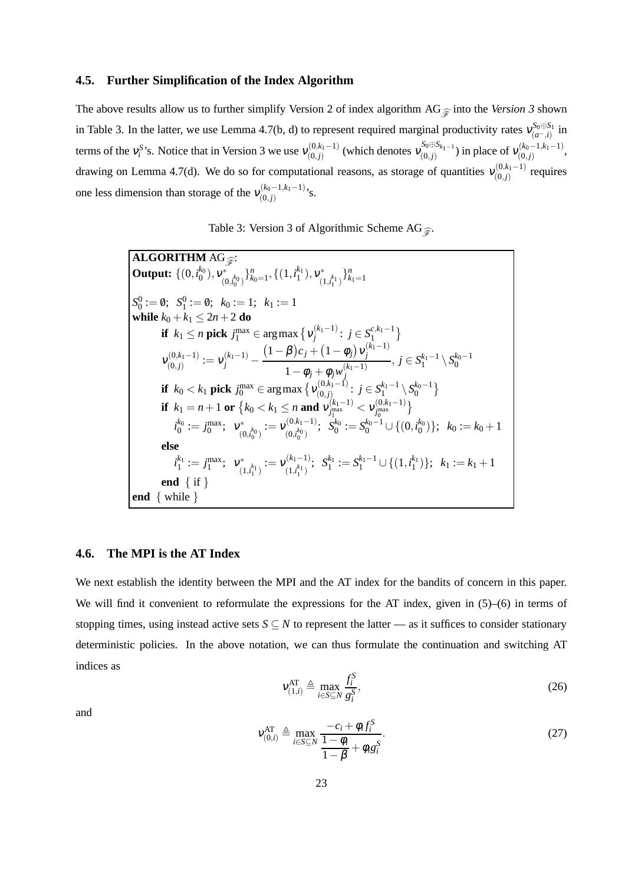#### **4.5. Further Simplification of the Index Algorithm**

The above results allow us to further simplify Version 2 of index algorithm AG $\hat{\sigma}$  into the *Version 3* shown in Table 3. In the latter, we use Lemma 4.7(b, d) to represent required marginal productivity rates  $v_{(a-1)}^{S_0 \oplus S_1}$  $\sum_{i=1}^{30\text{ }00\text{ }00\text{ }1}$  in terms of the  $v_i^{S}$ 's. Notice that in Version 3 we use  $v_{(0,j)}^{(0,k_1-1)}$  $\binom{(0, k_1 - 1)}{(0, j)}$  (which denotes  $\mathcal{V}^{S_0 \oplus S_{k_1 - 1}}_{(0, j)}$  $\binom{S_0 \oplus S_{k_1-1}}{(0,j)}$  in place of  $v_{(0,j)}^{(k_0-1,k_1-1)}$  $\binom{(k_0-1,k_1-1)}{(0,j)}$ drawing on Lemma 4.7(d). We do so for computational reasons, as storage of quantities  $v_{(0,i)}^{(0,k_1-1)}$  $\binom{(0, k)}{(0, j)}$  requires one less dimension than storage of the  $v_{(0,i)}^{(k_0-1,k_1-1)}$  $\binom{(k_0-1,k_1-1)}{(0,j)}$ 's.

|  |  | Table 3: Version 3 of Algorithmic Scheme AG $\widehat{\mathfrak{F}}$ . |  |
|--|--|------------------------------------------------------------------------|--|
|  |  |                                                                        |  |

**ALGORITHM** AG<sub>F</sub>: **Output:**  $\{(0, i_0^{k_0}), v_{(0)}^*\}$  $\{(\theta_0, i_0^{k_0})\}_{k_0=1}^n, \{(1, i_1^{k_1}), v_{(1)}^{*}\}$  $\binom{k}{1,i_1^{k_1}}^{n}$  $S_0^0 := \emptyset; \ \ S_1^0 := \emptyset; \ \ k_0 := 1; \ \ k_1 := 1$ **while**  $k_0 + k_1 \leq 2n + 2$  **do if**  $k_1 \le n$  **pick**  $j_1^{\max} \in \arg \max \left\{ v_j^{(k_1-1)} \right\}$  $j^{(k_1-1)}$ :  $j \in S_1^{c,k_1-1}$  $V_{(0,1)}^{(0,k_1-1)}$  $\chi_{(0,j)}^{(0,k_1-1)}:=\mathsf{v}_j^{(k_1-1)} (1 - \beta)c_j + (1 - \phi_j)v_j^{(k_1-1)}$ *j*  $1-\phi_j + \phi_j w_j^{(k_1-1)}$ *j* , *j* ∈  $S_1^{k_1-1}$  \  $S_0^{k_0-1}$ **if**  $k_0 < k_1$  **pick**  $j_0^{\max} \in \argmax \left\{ \nu_{(0,j)}^{(0,k_1-1)} \right\}$  $j \in S_1^{k_1-1} \setminus S_0^{k_0-1} \brace \{0,j\}$ **if**  $k_1 = n + 1$  or  $\{k_0 < k_1 \le n \text{ and } v_{j_{\text{max}}^{(k_1-1)}}\}$  $y_{j_1}^{(\text{max})} < V_{j_0}^{(0,k_1-1)}$  $\left\{\begin{matrix} 0,k_1-1\\ j_0^{\text{max}} \end{matrix}\right\}$  $i_0^{k_0} := j_0^{\max}; \;\; \mathsf{v}_{\text{\tiny (1)}}^*$  $\begin{array}{c} \gamma^*_{(0, k_0^{k_0})} := \mathsf{v}^{(0, k_1-1)}_{(0, l_0^{k_0})} \end{array}$  $S_0^{(0,k_1-1)}$ ;  $S_0^{k_0} := S_0^{k_0-1} \cup \{(0,i_0^{k_0})\}$ ;  $k_0 := k_0+1$ **else**  $i_1^{k_1} := j_1^{\max};~~v_{\alpha}^*$  $\begin{array}{c} \gamma^*_{(1,i_1^{k_1})}:=\mathcal{V}^{(k_1-1)}_{(1,i_1^{k_1})} \end{array}$  $(S_{(1, t_1^{k_1})}^{(k_1-1)}; S_1^{k_1} := S_1^{k_1-1} \cup \{(1, t_1^{k_1})\}; k_1 := k_1 + 1$ **end** { if } **end** { while }

#### **4.6. The MPI is the AT Index**

We next establish the identity between the MPI and the AT index for the bandits of concern in this paper. We will find it convenient to reformulate the expressions for the AT index, given in  $(5)$ – $(6)$  in terms of stopping times, using instead active sets  $S \subseteq N$  to represent the latter — as it suffices to consider stationary deterministic policies. In the above notation, we can thus formulate the continuation and switching AT indices as

$$
v_{(1,i)}^{\text{AT}} \triangleq \max_{i \in S \subseteq N} \frac{f_i^S}{g_i^S},\tag{26}
$$

and

$$
\mathbf{v}_{(0,i)}^{\text{AT}} \triangleq \max_{i \in S \subseteq N} \frac{-c_i + \phi_i f_i^S}{\frac{1 - \phi_i}{1 - \beta} + \phi_i g_i^S}.
$$
\n(27)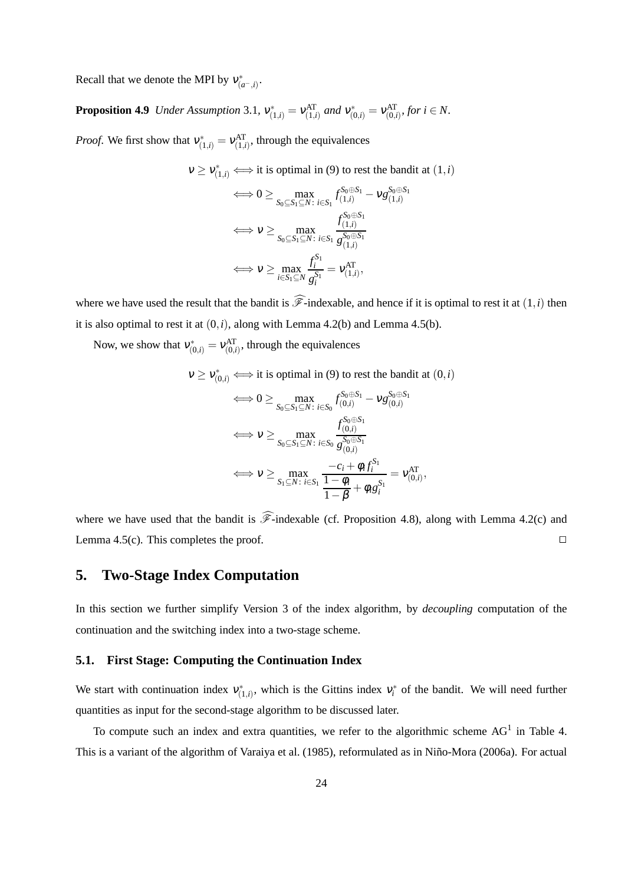Recall that we denote the MPI by  $v_{(a^-,i)}^*$ .

**Proposition 4.9** *Under Assumption* 3.1,  $v_{(1,i)}^* = v_{(1,i)}^{AT}$  *and*  $v_{(0,i)}^* = v_{(0,i)}^{AT}$ *, for i*  $\in N$ .

*Proof.* We first show that  $v_{(1,i)}^* = v_{(1,i)}^{AT}$ , through the equivalences

$$
\begin{aligned}\n\mathbf{v} &\geq \mathbf{v}_{(1,i)}^* \Longleftrightarrow \text{it is optimal in (9) to rest the bandit at } (1,i) \\
&\iff 0 \geq \max_{S_0 \subseteq S_1 \subseteq N: \ i \in S_1} f_{(1,i)}^{S_0 \oplus S_1} - \mathbf{v} g_{(1,i)}^{S_0 \oplus S_1} \\
&\iff \mathbf{v} \geq \max_{S_0 \subseteq S_1 \subseteq N: \ i \in S_1} \frac{f_{(1,i)}^{S_0 \oplus S_1}}{g_{(1,i)}^{S_0 \oplus S_1}} \\
&\iff \mathbf{v} \geq \max_{i \in S_1 \subseteq N} \frac{f_i^{S_1}}{g_i^{S_1}} = \mathbf{v}_{(1,i)}^{AT},\n\end{aligned}
$$

where we have used the result that the bandit is  $\widehat{\mathscr{F}}$ -indexable, and hence if it is optimal to rest it at  $(1,i)$  then it is also optimal to rest it at  $(0, i)$ , along with Lemma 4.2(b) and Lemma 4.5(b).

Now, we show that  $v_{(0,i)}^* = v_{(0,i)}^{AT}$ , through the equivalences

$$
v \ge v_{(0,i)}^* \iff \text{it is optimal in (9) to rest the bandit at } (0,i)
$$
\n
$$
\iff 0 \ge \max_{S_0 \subseteq S_1 \subseteq N: \ i \in S_0} f_{(0,i)}^{S_0 \oplus S_1} - v g_{(0,i)}^{S_0 \oplus S_1}
$$
\n
$$
\iff v \ge \max_{S_0 \subseteq S_1 \subseteq N: \ i \in S_0} \frac{f_{(0,i)}^{S_0 \oplus S_1}}{g_{(0,i)}^{S_0 \oplus S_1}}
$$
\n
$$
\iff v \ge \max_{S_1 \subseteq N: \ i \in S_1} \frac{-c_i + \phi_i f_i^{S_1}}{1 - \phi_i} = v_{(0,i)}^{AT},
$$

where we have used that the bandit is  $\widehat{\mathscr{F}}$ -indexable (cf. Proposition 4.8), along with Lemma 4.2(c) and Lemma 4.5(c). This completes the proof.  $\square$ 

### **5. Two-Stage Index Computation**

In this section we further simplify Version 3 of the index algorithm, by *decoupling* computation of the continuation and the switching index into a two-stage scheme.

#### **5.1. First Stage: Computing the Continuation Index**

We start with continuation index  $v_{(1,i)}^*$ , which is the Gittins index  $v_i^*$  of the bandit. We will need further quantities as input for the second-stage algorithm to be discussed later.

To compute such an index and extra quantities, we refer to the algorithmic scheme  $AG<sup>1</sup>$  in Table 4. This is a variant of the algorithm of Varaiya et al. (1985), reformulated as in Niño-Mora (2006a). For actual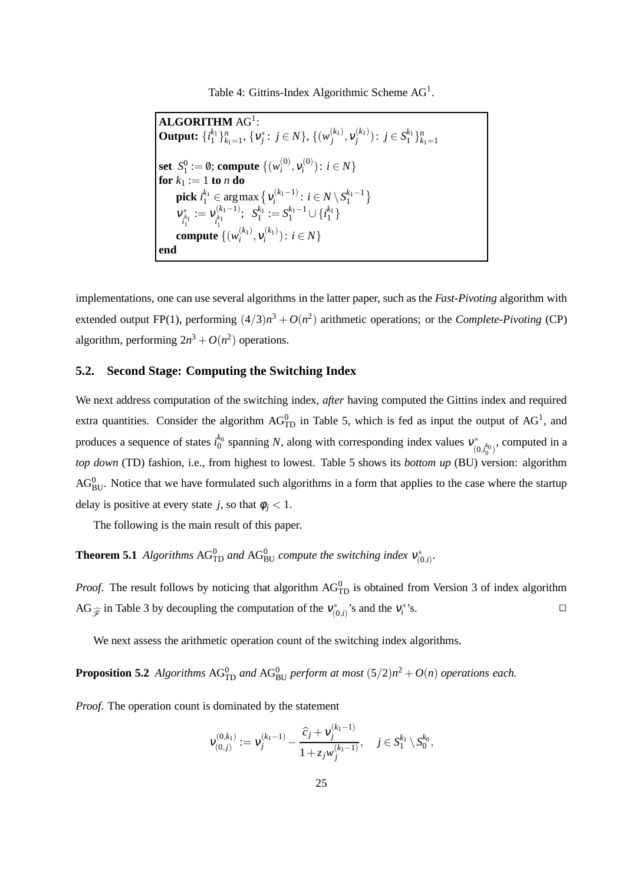Table 4: Gittins-Index Algorithmic Scheme  $AG<sup>1</sup>$ .

| <b>ALGORITHM AG1:</b>                                                                                                            |
|----------------------------------------------------------------------------------------------------------------------------------|
| <b>Output:</b> $\{i_1^{k_1}\}_{k_1=1}^n$ , $\{v_j^*\colon j\in N\}$ , $\{(w_j^{(k_1)}, v_j^{(k_1)}): j\in S_1^{k_1}\}_{k_1=1}^n$ |
| <b>set</b> $S_1^0 := \emptyset$ ; compute $\{(w_i^{(0)}, v_i^{(0)}) : i \in N\}$                                                 |
| <b>for</b> $k_1 := 1$ to <i>n</i> do                                                                                             |
| <b>pick</b> $i_1^{k_1} \in \arg \max \{ v_i^{(k_1-1)} : i \in N \setminus S_1^{k_1-1} \}$                                        |
| $V_{\substack{k_1\\l_1}}^* := V_{\substack{k_1\\l_1}}^{(k_1-1)}; S_1^{k_1} := S_1^{k_1-1} \cup \{i_1^{k_1}\}\$                   |
| <b>compute</b> $\{(w_i^{(k_1)}, v_i^{(k_1)}): i \in N\}$                                                                         |
| end                                                                                                                              |

implementations, one can use several algorithms in the latter paper, such as the *Fast-Pivoting* algorithm with extended output FP(1), performing  $(4/3)n^3 + O(n^2)$  arithmetic operations; or the *Complete-Pivoting* (CP) algorithm, performing  $2n^3 + O(n^2)$  operations.

#### **5.2. Second Stage: Computing the Switching Index**

We next address computation of the switching index, *after* having computed the Gittins index and required extra quantities. Consider the algorithm  $AG_{TD}^0$  in Table 5, which is fed as input the output of  $AG<sup>1</sup>$ , and produces a sequence of states  $i_0^{k_0}$  spanning *N*, along with corresponding index values  $v_{(0)}^*$  $\big( \begin{smallmatrix} 0, & k_0 \ (0, & i_0^0) \end{smallmatrix} \big)$ , computed in a *top down* (TD) fashion, i.e., from highest to lowest. Table 5 shows its *bottom up* (BU) version: algorithm  $AG_{BU}^0$ . Notice that we have formulated such algorithms in a form that applies to the case where the startup delay is positive at every state *j*, so that  $\phi_i < 1$ .

The following is the main result of this paper.

**Theorem 5.1** *Algorithms*  $AG_{TD}^0$  *and*  $AG_{BU}^0$  *compute the switching index*  $v_{(0,i)}^*$ .

*Proof.* The result follows by noticing that algorithm  $AG<sup>0</sup><sub>TD</sub>$  is obtained from Version 3 of index algorithm AG<sub> $\widehat{\mathcal{F}}$  in Table 3 by decoupling the computation of the  $v_{(0,i)}^*$ 's and the  $v_i^*$ </sub>  $\mathbf{S}$ .

We next assess the arithmetic operation count of the switching index algorithms.

**Proposition 5.2** *Algorithms*  $AG_{TD}^0$  *and*  $AG_{BU}^0$  *perform at most*  $(5/2)n^2 + O(n)$  *operations each.* 

*Proof*. The operation count is dominated by the statement

$$
\mathbf{v}_{(0,j)}^{(0,k_1)} := \mathbf{v}_j^{(k_1-1)} - \frac{\widehat{c}_j + \mathbf{v}_j^{(k_1-1)}}{1 + z_j w_j^{(k_1-1)}}, \quad j \in S_1^{k_1} \setminus S_0^{k_0},
$$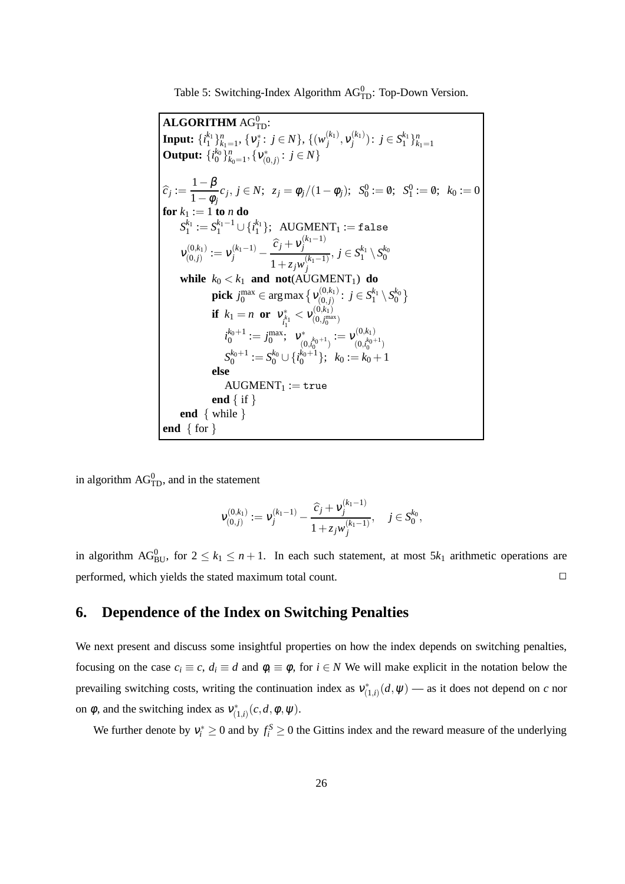Table 5: Switching-Index Algorithm  $AG<sup>0</sup><sub>TD</sub>$ : Top-Down Version.

 $\mathbf{ALGORITHM} \, \mathrm{AG}^0_{\mathrm{TD}}$ :  $\textbf{Input:}~\{i_1^{k_1}\}_{k_1=1}^n,~\{\pmb{\nu}_j^*:~j\in N\},~\{(\pmb{\nu}_j^{(k_1)})$  $\mathcal{V}_j^{(k_1)}, \mathcal{V}_j^{(k_1)}$  $\binom{k_1}{j}$ :  $j \in S_1^{k_1} \}_{k_1=1}^n$ **Output:**  $\{i_0^{k_0}\}_{k_0=1}^n$ ,  $\{v_{(0,j)}^*: j \in N\}$  $\widehat{c}_j := \frac{1-\beta}{1-\phi_j}$  $\frac{1}{1-\phi_j}c_j, j \in N;$   $z_j = \phi_j/(1-\phi_j);$   $S_0^0 := \emptyset;$   $S_1^0 := \emptyset;$   $k_0 := 0$ **for**  $k_1 := 1$  **to**  $n$  **do**  $S_1^{k_1} := S_1^{k_1-1} \cup \{ i_1^{k_1} \}; \ \ \text{AUGMENT}_1 := \mathtt{false}$  $v_{(0,1)}^{(0,k_1)}$  $\mathcal{L}_{(0,j)}^{(0,k_1)} := \mathcal{V}_j^{(k_1-1)} - \frac{\widehat{c}_j + \mathcal{V}_j^{(k_1-1)}}{1 + \sigma \cdot \mu^{(k_1-1)}}$ *j*  $1+z_jw_j^{(k_1-1)}$ *j*  $j, j \in S_1^{k_1} \setminus S_0^{k_0}$ **while**  $k_0 < k_1$  **and not**(AUGMENT<sub>1</sub>) **do**  $\mathbf{pick}\; j^{\max}_0 \in \argmax\big\{ \mathcal{V}^{(0,k_1)}_{(0,j)}\big\}$  $j^{(0,k_1)} \colon j \in S_1^{k_1} \setminus S_0^{k_0}$ **if**  $k_1 = n$  **or**  $v_{k}^*$  $\frac{1}{i_1^{k_1}} < \nu^{(0,k_1)}_{(0,j_0^{\text{ma}})}$  $(0, j_0^{\rm max})$  $i_0^{k_0+1} := j_0^{\max};\;\; \mathbf{v}_{\alpha}^*$  $\bigl( \begin{smallmatrix} 0,k_0+1\0,t_0 \end{smallmatrix} \bigr) := \mathsf{V}^{(0,k_1)}_{(0,t_0^{k_0+1})}$  $(0, i_0^{k_0+1})$  $S_0^{k_0+1} := S_0^{k_0} \cup \{ i_0^{k_0+1} \}; \ \ k_0 := k_0+1$ **else**  $AUGMENT_1 := true$ **end** { if } **end** { while } **end** { for }

in algorithm  $AG_{TD}^0$ , and in the statement

$$
\mathbf{v}_{(0,j)}^{(0,k_1)} := \mathbf{v}_j^{(k_1-1)} - \frac{\widehat{c}_j + \mathbf{v}_j^{(k_1-1)}}{1 + z_j w_j^{(k_1-1)}}, \quad j \in S_0^{k_0},
$$

in algorithm AG<sub>BU</sub>, for  $2 \leq k_1 \leq n+1$ . In each such statement, at most  $5k_1$  arithmetic operations are performed, which yields the stated maximum total count.

## **6. Dependence of the Index on Switching Penalties**

We next present and discuss some insightful properties on how the index depends on switching penalties, focusing on the case  $c_i \equiv c$ ,  $d_i \equiv d$  and  $\phi_i \equiv \phi$ , for  $i \in N$  We will make explicit in the notation below the prevailing switching costs, writing the continuation index as  $v_{(1,i)}^*(d, \psi)$  — as it does not depend on *c* nor on  $\phi$ , and the switching index as  $v^*_{(1,i)}(c,d,\phi,\psi)$ .

We further denote by  $v_i^* \ge 0$  and by  $f_i^S \ge 0$  the Gittins index and the reward measure of the underlying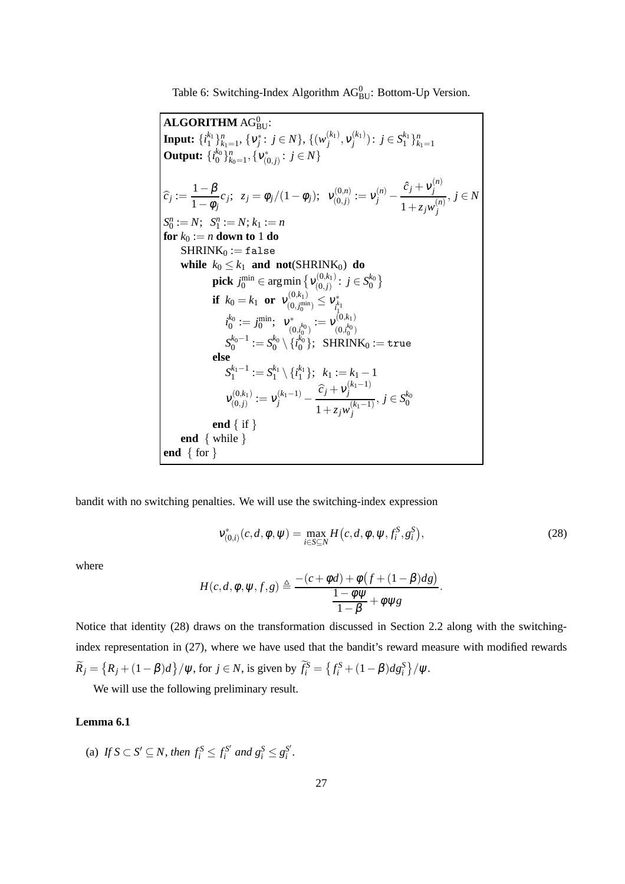Table 6: Switching-Index Algorithm  $AG_{BU}^0$ : Bottom-Up Version.

 $ALGORITHM AG<sub>BU</sub><sup>0</sup>$ : BU:  $\textbf{Input:}~\{i_1^{k_1}\}_{k_1=1}^n,~\{\pmb{\nu}_j^*:~j\in N\},~\{(\pmb{\nu}_j^{(k_1)})$  $\mathcal{V}_j^{(k_1)}, \mathcal{V}_j^{(k_1)}$  $\binom{k_1}{j}$ :  $j \in S_1^{k_1} \}_{k_1=1}^n$ **Output:**  $\{i_0^{k_0}\}_{k_0=1}^n, \{v_{(0,j)}^*: j \in N\}$  $\widehat{c}_j := \frac{1-\beta}{1-\phi_j}$  $\frac{1-p}{1-\phi_j}c_j; \ z_j = \phi_j/(1-\phi_j); \ v_{(0,j)}^{(0,n)}$  $\mathcal{V}^{(0,n)}_{(0,j)}:=\mathcal{V}^{(n)}_j \hat{c}_j + v_j^{(n)}$ *j*  $1+z_jw_j^{(n)}$ *j* , *j* ∈ *N*  $S_0^n := N; S_1^n := N; k_1 := n$ **for**  $k_0 := n$  **down to** 1 **do**  $SHRINK_0 := false$ **while**  $k_0 \leq k_1$  **and not**(SHRINK<sub>0</sub>) **do**  $\mathbf{pick}~j^{\min}_0 \in \argmin\big\{\mathbf{v}^{(0,k_1)}_{(0,j)}\big\}$  $j^{(0,k_1)}_{(0,j)}: j\in S_0^{k_0}\big\}$ **if**  $k_0 = k_1$  **or**  $v_{(0, i^{min}_{n})}^{(0, k_1)}$  $\mathcal{V}^{(0,\kappa_1)}_{(0,j_0^{\min})}\leq \mathcal{V}^*_{\substack{k\ l_1}}$  $i_0^{k_0} := j_0^{\min}$ ;  $v_{(0, j_0^{\min})}^* := v_{i_1}^{k_1}$ <br> $i_0^{k_0} := j_0^{\min}$ ;  $v_{(0, i_0)}^* := v_{(0, i_1)}^{(0)}$  $\begin{array}{c} \gamma^* \ (\bar{0}, \bar{k}_0^k) \end{array} := \mathcal{V}^{(0, k_1)}_{(\bar{0}, \bar{k}_0^k)}$  $(0, i_0^{k_0})$  $S_0^{k_0-1} := S_0^{k_0} \setminus \{ i_0^{k_0} \}; \ \ \textrm{SHRINK}_0 := \texttt{true}$ **else**  $S_1^{k_1-1} := S_1^{k_1} \setminus \{i_1^{k_1}\}; \ \ k_1 := k_1 - 1$  $v^{(0,k_1)}_{\infty}$  $\mathcal{L}_{(0,j)}^{(0,k_1)} := \mathcal{V}_j^{(k_1-1)} - \frac{\widehat{c}_j + \mathcal{V}_j^{(k_1-1)}}{1 + \sigma \cdot \mu^{(k_1-1)}}$ *j*  $1+z_jw_j^{(k_1-1)}$ *j*  $, j \in S_0^{k_0}$ **end** { if } **end** { while } **end** { for }

bandit with no switching penalties. We will use the switching-index expression

$$
v_{(0,i)}^{*}(c,d,\phi,\psi) = \max_{i \in S \subseteq N} H(c,d,\phi,\psi,f_{i}^{S},g_{i}^{S}),
$$
\n(28)

.

where

$$
H(c,d,\phi,\psi,f,g) \triangleq \frac{-(c+\phi d) + \phi (f + (1-\beta)d g)}{1-\phi \psi + \phi \psi g}
$$

Notice that identity (28) draws on the transformation discussed in Section 2.2 along with the switchingindex representation in (27), where we have used that the bandit's reward measure with modified rewards  $\widetilde{R}_j = \left\{ R_j + (1 - \beta)d \right\} / \psi$ , for  $j \in N$ , is given by  $\widetilde{f}_i^S = \left\{ f_i^S + (1 - \beta)d g_i^S \right\} / \psi$ .

We will use the following preliminary result.

#### **Lemma 6.1**

(a) If  $S \subset S' \subseteq N$ , then  $f_i^S \leq f_i^{S'}$  $g_i^{S'}$  and  $g_i^S \leq g_i^{S'}$ *i .*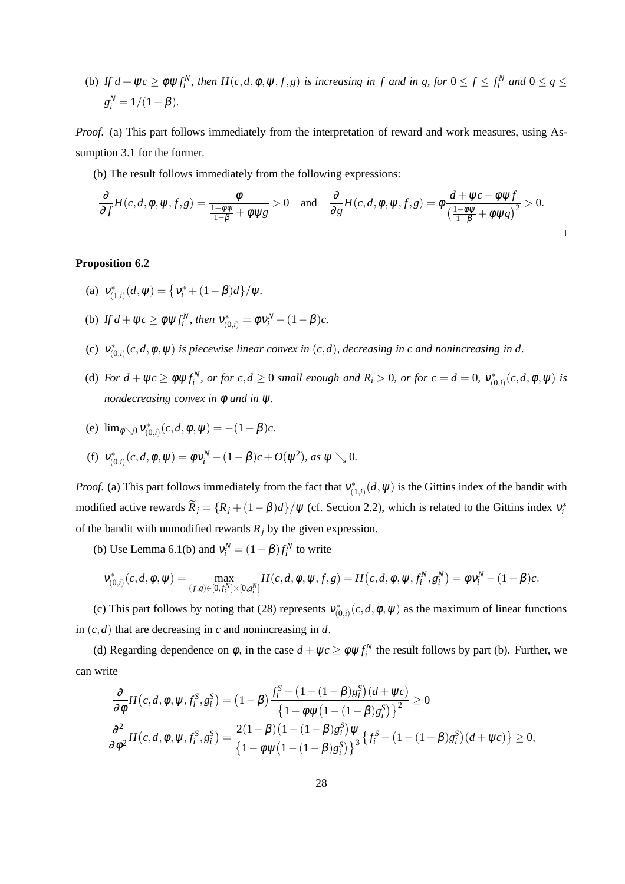(b) If  $d + \psi c \ge \phi \psi f_i^N$ , then  $H(c, d, \phi, \psi, f, g)$  is increasing in f and in g, for  $0 \le f \le f_i^N$  and  $0 \le g \le g$  $g_i^N = 1/(1 - \beta).$ 

*Proof*. (a) This part follows immediately from the interpretation of reward and work measures, using Assumption 3.1 for the former.

(b) The result follows immediately from the following expressions:

$$
\frac{\partial}{\partial f}H(c,d,\phi,\psi,f,g) = \frac{\phi}{\frac{1-\phi\psi}{1-\beta} + \phi\psi g} > 0 \quad \text{and} \quad \frac{\partial}{\partial g}H(c,d,\phi,\psi,f,g) = \phi\frac{d+\psi c - \phi\psi f}{\left(\frac{1-\phi\psi}{1-\beta} + \phi\psi g\right)^2} > 0.
$$

#### **Proposition 6.2**

- (a)  $v_{(1,i)}^*(d, \psi) = \left\{v_i^* + (1-\beta)d\right\}/\psi.$
- (b) If  $d + \psi c \ge \phi \psi f_i^N$ , then  $v_{(0,i)}^* = \phi v_i^N (1 \beta)c$ .
- (c)  $v^*_{(0,i)}(c,d,\phi,\psi)$  *is piecewise linear convex in*  $(c,d)$ *, decreasing in c and nonincreasing in d.*
- (d) For  $d + \psi c \ge \phi \psi f_i^N$ , or for  $c, d \ge 0$  small enough and  $R_i > 0$ , or for  $c = d = 0$ ,  $v_{(0,i)}^*(c, d, \phi, \psi)$  is *nondecreasing convex in* φ *and in* ψ*.*

(e) 
$$
\lim_{\phi \searrow 0} v_{(0,i)}^*(c, d, \phi, \psi) = -(1 - \beta)c
$$
.

(f) 
$$
v_{(0,i)}^*(c, d, \phi, \psi) = \phi v_i^N - (1 - \beta)c + O(\psi^2)
$$
, as  $\psi \searrow 0$ .

*Proof.* (a) This part follows immediately from the fact that  $v^*_{(1,i)}(d,\psi)$  is the Gittins index of the bandit with modified active rewards  $\widetilde{R}_j = \{R_j + (1 - \beta)d\}/\psi$  (cf. Section 2.2), which is related to the Gittins index  $v_i^*$ of the bandit with unmodified rewards  $R_i$  by the given expression.

(b) Use Lemma 6.1(b) and  $v_i^N = (1 - \beta) f_i^N$  to write

$$
v_{(0,i)}^*(c,d,\phi,\psi) = \max_{(f,g) \in [0,f_i^N] \times [0,g_i^N]} H(c,d,\phi,\psi,f,g) = H(c,d,\phi,\psi,f_i^N,g_i^N) = \phi v_i^N - (1-\beta)c.
$$

(c) This part follows by noting that (28) represents  $v_{(0,i)}^*(c,d,\phi,\psi)$  as the maximum of linear functions in (*c*,*d*) that are decreasing in *c* and nonincreasing in *d*.

(d) Regarding dependence on  $\phi$ , in the case  $d + \psi c \ge \phi \psi f_i^N$  the result follows by part (b). Further, we can write

$$
\frac{\partial}{\partial \phi} H(c, d, \phi, \psi, f_i^S, g_i^S) = (1 - \beta) \frac{f_i^S - (1 - (1 - \beta)g_i^S)(d + \psi c)}{\left\{1 - \phi \psi \left(1 - (1 - \beta)g_i^S\right)\right\}^2} \ge 0
$$
\n
$$
\frac{\partial^2}{\partial \phi^2} H(c, d, \phi, \psi, f_i^S, g_i^S) = \frac{2(1 - \beta)(1 - (1 - \beta)g_i^S)\psi}{\left\{1 - \phi \psi \left(1 - (1 - \beta)g_i^S\right)\right\}^3} \left\{f_i^S - (1 - (1 - \beta)g_i^S)(d + \psi c)\right\} \ge 0,
$$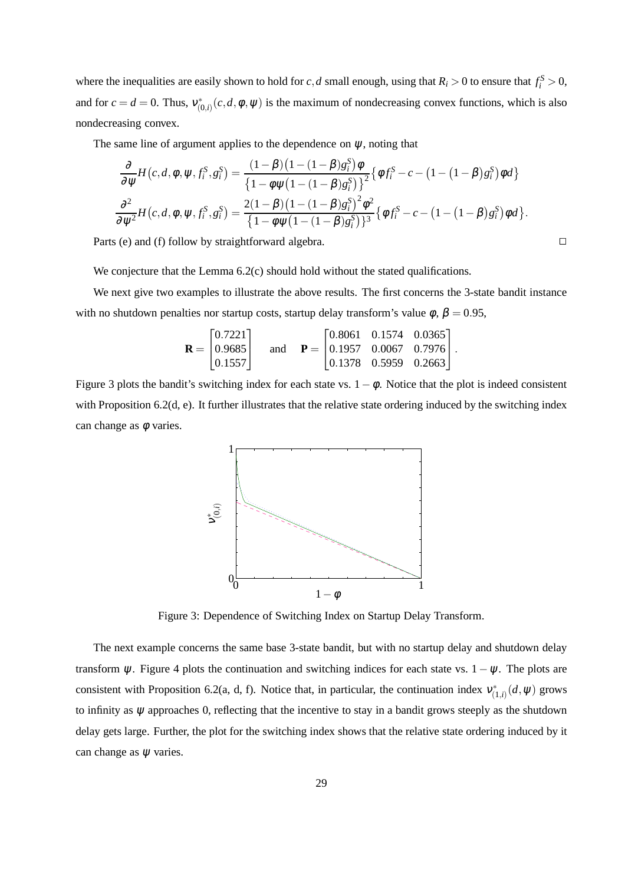where the inequalities are easily shown to hold for *c*, *d* small enough, using that  $R_i > 0$  to ensure that  $f_i^S > 0$ , and for  $c = d = 0$ . Thus,  $v_{(0,i)}^*(c, d, \phi, \psi)$  is the maximum of nondecreasing convex functions, which is also nondecreasing convex.

The same line of argument applies to the dependence on  $\psi$ , noting that

$$
\frac{\partial}{\partial \psi} H(c, d, \phi, \psi, f_i^S, g_i^S) = \frac{(1 - \beta)(1 - (1 - \beta)g_i^S)\phi}{\{1 - \phi\psi(1 - (1 - \beta)g_i^S)\}^2} \{\phi f_i^S - c - (1 - (1 - \beta)g_i^S)\phi d\}
$$

$$
\frac{\partial^2}{\partial \psi^2} H(c, d, \phi, \psi, f_i^S, g_i^S) = \frac{2(1 - \beta)(1 - (1 - \beta)g_i^S)^2\phi^2}{\{1 - \phi\psi(1 - (1 - \beta)g_i^S)\}^3} \{\phi f_i^S - c - (1 - (1 - \beta)g_i^S)\phi d\}.
$$

Parts (e) and (f) follow by straightforward algebra.

We conjecture that the Lemma 6.2(c) should hold without the stated qualifications.

We next give two examples to illustrate the above results. The first concerns the 3-state bandit instance with no shutdown penalties nor startup costs, startup delay transform's value  $\phi$ ,  $\beta = 0.95$ ,

$$
\mathbf{R} = \begin{bmatrix} 0.7221 \\ 0.9685 \\ 0.1557 \end{bmatrix} \text{ and } \mathbf{P} = \begin{bmatrix} 0.8061 & 0.1574 & 0.0365 \\ 0.1957 & 0.0067 & 0.7976 \\ 0.1378 & 0.5959 & 0.2663 \end{bmatrix}.
$$

Figure 3 plots the bandit's switching index for each state vs.  $1-\phi$ . Notice that the plot is indeed consistent with Proposition 6.2(d, e). It further illustrates that the relative state ordering induced by the switching index can change as  $\phi$  varies.



Figure 3: Dependence of Switching Index on Startup Delay Transform.

The next example concerns the same base 3-state bandit, but with no startup delay and shutdown delay transform  $\psi$ . Figure 4 plots the continuation and switching indices for each state vs. 1 –  $\psi$ . The plots are consistent with Proposition 6.2(a, d, f). Notice that, in particular, the continuation index  $v^*_{(1,i)}(d,\psi)$  grows to infinity as  $\psi$  approaches 0, reflecting that the incentive to stay in a bandit grows steeply as the shutdown delay gets large. Further, the plot for the switching index shows that the relative state ordering induced by it can change as  $\psi$  varies.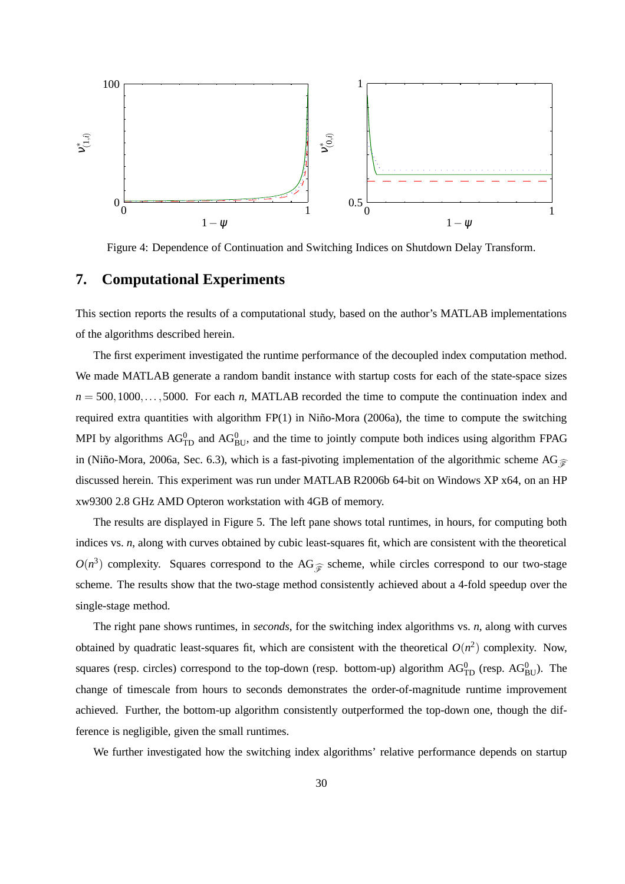

Figure 4: Dependence of Continuation and Switching Indices on Shutdown Delay Transform.

## **7. Computational Experiments**

This section reports the results of a computational study, based on the author's MATLAB implementations of the algorithms described herein.

The first experiment investigated the runtime performance of the decoupled index computation method. We made MATLAB generate a random bandit instance with startup costs for each of the state-space sizes  $n = 500, 1000, \ldots, 5000$ . For each *n*, MATLAB recorded the time to compute the continuation index and required extra quantities with algorithm FP(1) in Niño-Mora (2006a), the time to compute the switching MPI by algorithms  $AG_{TD}^0$  and  $AG_{BU}^0$ , and the time to jointly compute both indices using algorithm FPAG in (Niño-Mora, 2006a, Sec. 6.3), which is a fast-pivoting implementation of the algorithmic scheme AG $_{\widehat{\mathscr{F}}}$ discussed herein. This experiment was run under MATLAB R2006b 64-bit on Windows XP x64, on an HP xw9300 2.8 GHz AMD Opteron workstation with 4GB of memory.

The results are displayed in Figure 5. The left pane shows total runtimes, in hours, for computing both indices vs. *n*, along with curves obtained by cubic least-squares fit, which are consistent with the theoretical  $O(n^3)$  complexity. Squares correspond to the AG<sub> $\hat{\mathcal{F}}$ </sub> scheme, while circles correspond to our two-stage scheme. The results show that the two-stage method consistently achieved about a 4-fold speedup over the single-stage method.

The right pane shows runtimes, in *seconds*, for the switching index algorithms vs. *n*, along with curves obtained by quadratic least-squares fit, which are consistent with the theoretical  $O(n^2)$  complexity. Now, squares (resp. circles) correspond to the top-down (resp. bottom-up) algorithm  $AG_{TD}^0$  (resp.  $AG_{BU}^0$ ). The change of timescale from hours to seconds demonstrates the order-of-magnitude runtime improvement achieved. Further, the bottom-up algorithm consistently outperformed the top-down one, though the difference is negligible, given the small runtimes.

We further investigated how the switching index algorithms' relative performance depends on startup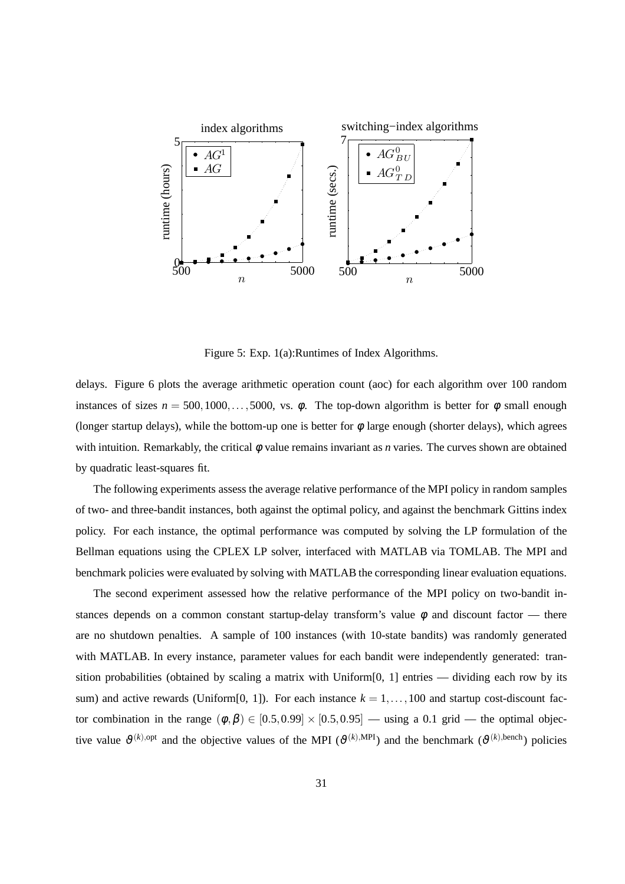

Figure 5: Exp. 1(a):Runtimes of Index Algorithms.

delays. Figure 6 plots the average arithmetic operation count (aoc) for each algorithm over 100 random instances of sizes  $n = 500, 1000, \ldots, 5000$ , vs.  $\phi$ . The top-down algorithm is better for  $\phi$  small enough (longer startup delays), while the bottom-up one is better for  $\phi$  large enough (shorter delays), which agrees with intuition. Remarkably, the critical φ value remains invariant as *n* varies. The curves shown are obtained by quadratic least-squares fit.

The following experiments assess the average relative performance of the MPI policy in random samples of two- and three-bandit instances, both against the optimal policy, and against the benchmark Gittins index policy. For each instance, the optimal performance was computed by solving the LP formulation of the Bellman equations using the CPLEX LP solver, interfaced with MATLAB via TOMLAB. The MPI and benchmark policies were evaluated by solving with MATLAB the corresponding linear evaluation equations.

The second experiment assessed how the relative performance of the MPI policy on two-bandit instances depends on a common constant startup-delay transform's value  $\phi$  and discount factor — there are no shutdown penalties. A sample of 100 instances (with 10-state bandits) was randomly generated with MATLAB. In every instance, parameter values for each bandit were independently generated: transition probabilities (obtained by scaling a matrix with Uniform $[0, 1]$  entries — dividing each row by its sum) and active rewards (Uniform[0, 1]). For each instance  $k = 1, \ldots, 100$  and startup cost-discount factor combination in the range  $(\phi, \beta) \in [0.5, 0.99] \times [0.5, 0.95]$  — using a 0.1 grid — the optimal objective value  $\theta^{(k),\text{opt}}$  and the objective values of the MPI ( $\theta^{(k),\text{MPI}}$ ) and the benchmark ( $\theta^{(k),\text{bench}}$ ) policies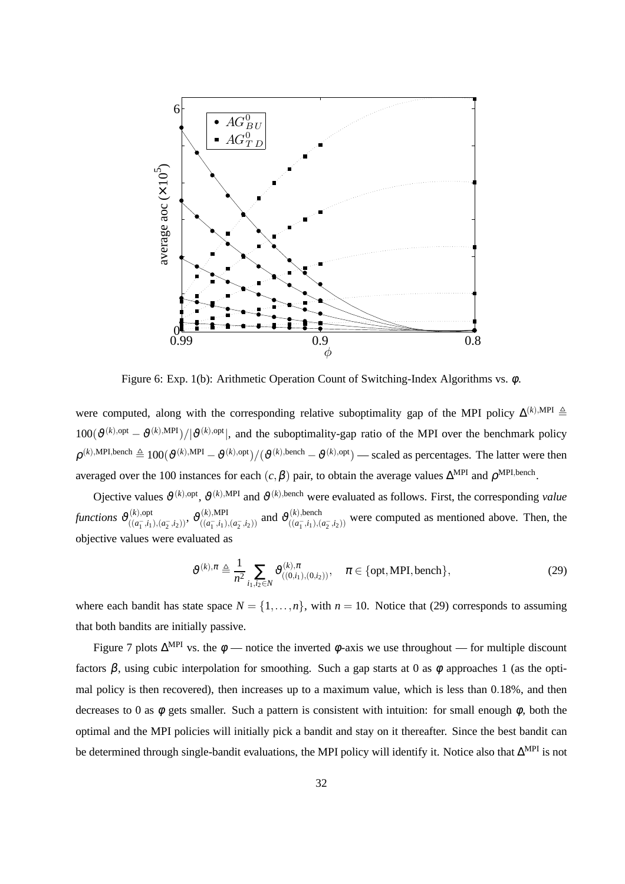

Figure 6: Exp. 1(b): Arithmetic Operation Count of Switching-Index Algorithms vs. φ.

were computed, along with the corresponding relative suboptimality gap of the MPI policy  $\Delta^{(k),\text{MPI}}$   $\triangleq$  $100(\vartheta^{(k),\text{opt}} - \vartheta^{(k),\text{MPI}})/|\vartheta^{(k),\text{opt}}|$ , and the suboptimality-gap ratio of the MPI over the benchmark policy  $\rho^{(k),\text{MPI},\text{bench}} \triangleq 100(\vartheta^{(k),\text{MPI}}-\vartheta^{(k),\text{opt}})/(\vartheta^{(k),\text{bench}}-\vartheta^{(k),\text{opt}})$  — scaled as percentages. The latter were then averaged over the 100 instances for each  $(c, \beta)$  pair, to obtain the average values  $\Delta^{\text{MPI}}$  and  $\rho^{\text{MPI}, \text{bench}}$ .

Ojective values  $\vartheta^{(k),\text{opt}}$ ,  $\vartheta^{(k),\text{MPI}}$  and  $\vartheta^{(k),\text{bench}}$  were evaluated as follows. First, the corresponding *value* functions  $\vartheta_{((a^-,i)}^{(k),\text{opt}})$  $\frac{\partial f(x_0,0){\rm d} x_1}{\partial f(x_1,0;1)}$ , (*a*<sub>1</sub>, *i*<sub>2</sub>)),  $\vartheta^{(k),{\rm MPI}}_{((a_1^-,i_1),j_1)}$  $((k),$ MPI  $((a_1^- , i_1), (a_2^- , i_2))$  and  $\vartheta^{(k)}_{((a_1^- , i_1), (a_2^- , i_2))}$  $((a_1, b_1), b_2)$  were computed as mentioned above. Then, the  $((a_1^-, i_1), (a_2^-, i_2))$ objective values were evaluated as

$$
\vartheta^{(k),\pi} \triangleq \frac{1}{n^2} \sum_{i_1,i_2 \in \mathbb{N}} \vartheta^{(k),\pi}_{((0,i_1),(0,i_2))}, \quad \pi \in \{\text{opt}, \text{MPI}, \text{bench}\},\tag{29}
$$

where each bandit has state space  $N = \{1, ..., n\}$ , with  $n = 10$ . Notice that (29) corresponds to assuming that both bandits are initially passive.

Figure 7 plots  $\Delta^{\text{MPI}}$  vs. the  $\phi$  — notice the inverted  $\phi$ -axis we use throughout — for multiple discount factors  $\beta$ , using cubic interpolation for smoothing. Such a gap starts at 0 as  $\phi$  approaches 1 (as the optimal policy is then recovered), then increases up to a maximum value, which is less than 0.18%, and then decreases to 0 as  $\phi$  gets smaller. Such a pattern is consistent with intuition: for small enough  $\phi$ , both the optimal and the MPI policies will initially pick a bandit and stay on it thereafter. Since the best bandit can be determined through single-bandit evaluations, the MPI policy will identify it. Notice also that ∆<sup>MPI</sup> is not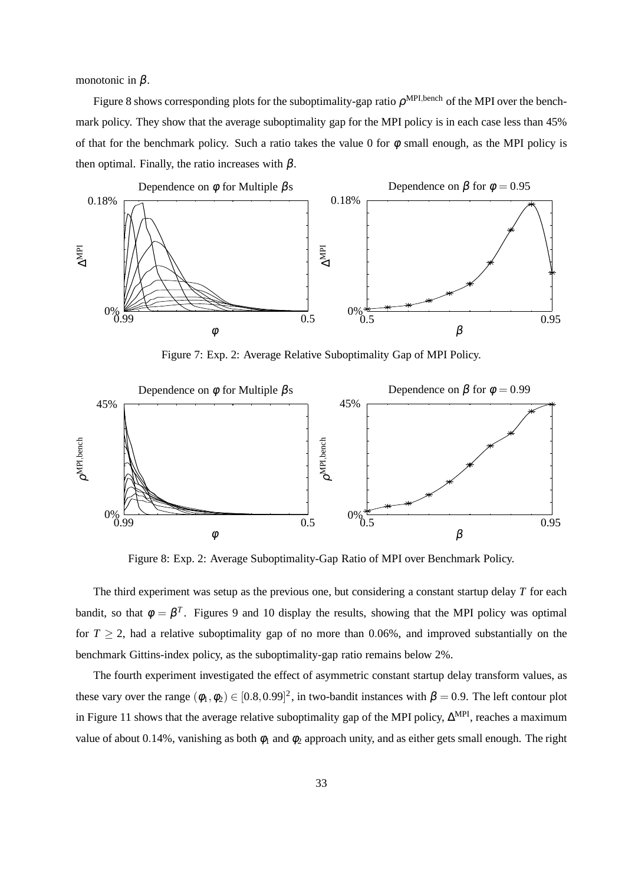monotonic in  $\beta$ .

Figure 8 shows corresponding plots for the suboptimality-gap ratio  $\rho^{\text{MPI,bench}}$  of the MPI over the benchmark policy. They show that the average suboptimality gap for the MPI policy is in each case less than 45% of that for the benchmark policy. Such a ratio takes the value 0 for  $\phi$  small enough, as the MPI policy is then optimal. Finally, the ratio increases with  $\beta$ .



Figure 7: Exp. 2: Average Relative Suboptimality Gap of MPI Policy.



Figure 8: Exp. 2: Average Suboptimality-Gap Ratio of MPI over Benchmark Policy.

The third experiment was setup as the previous one, but considering a constant startup delay *T* for each bandit, so that  $\phi = \beta^T$ . Figures 9 and 10 display the results, showing that the MPI policy was optimal for  $T \geq 2$ , had a relative suboptimality gap of no more than 0.06%, and improved substantially on the benchmark Gittins-index policy, as the suboptimality-gap ratio remains below 2%.

The fourth experiment investigated the effect of asymmetric constant startup delay transform values, as these vary over the range  $(\phi_1, \phi_2) \in [0.8, 0.99]^2$ , in two-bandit instances with  $\beta = 0.9$ . The left contour plot in Figure 11 shows that the average relative suboptimality gap of the MPI policy, ∆<sup>MPI</sup>, reaches a maximum value of about 0.14%, vanishing as both  $\phi_1$  and  $\phi_2$  approach unity, and as either gets small enough. The right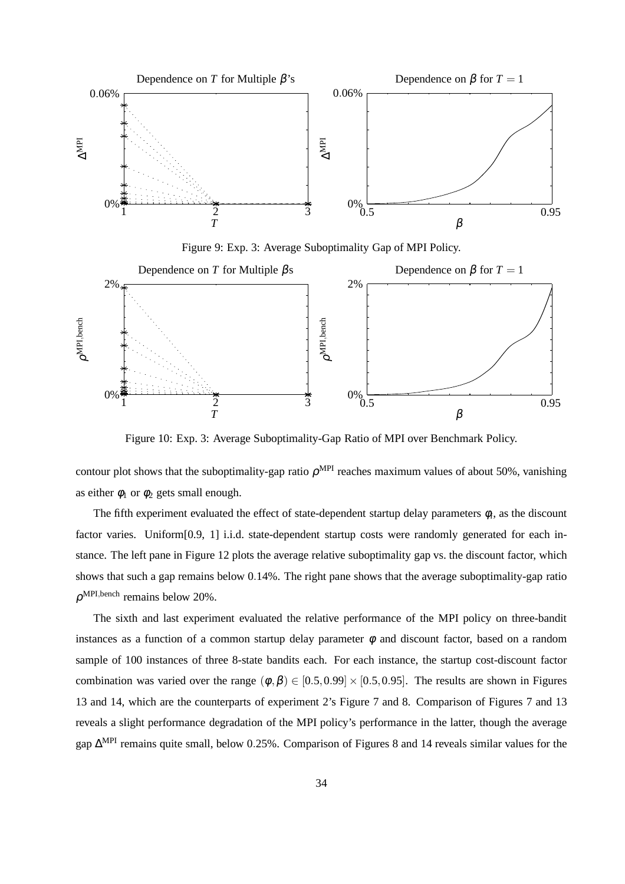

Figure 9: Exp. 3: Average Suboptimality Gap of MPI Policy.



Figure 10: Exp. 3: Average Suboptimality-Gap Ratio of MPI over Benchmark Policy.

contour plot shows that the suboptimality-gap ratio  $\rho^{MPI}$  reaches maximum values of about 50%, vanishing as either  $\phi_1$  or  $\phi_2$  gets small enough.

The fifth experiment evaluated the effect of state-dependent startup delay parameters  $\phi_i$ , as the discount factor varies. Uniform[0.9, 1] i.i.d. state-dependent startup costs were randomly generated for each instance. The left pane in Figure 12 plots the average relative suboptimality gap vs. the discount factor, which shows that such a gap remains below 0.14%. The right pane shows that the average suboptimality-gap ratio  $\rho^{\text{MPI,bench}}$  remains below 20%.

The sixth and last experiment evaluated the relative performance of the MPI policy on three-bandit instances as a function of a common startup delay parameter  $\phi$  and discount factor, based on a random sample of 100 instances of three 8-state bandits each. For each instance, the startup cost-discount factor combination was varied over the range  $(\phi, \beta) \in [0.5, 0.99] \times [0.5, 0.95]$ . The results are shown in Figures 13 and 14, which are the counterparts of experiment 2's Figure 7 and 8. Comparison of Figures 7 and 13 reveals a slight performance degradation of the MPI policy's performance in the latter, though the average gap ∆<sup>MPI</sup> remains quite small, below 0.25%. Comparison of Figures 8 and 14 reveals similar values for the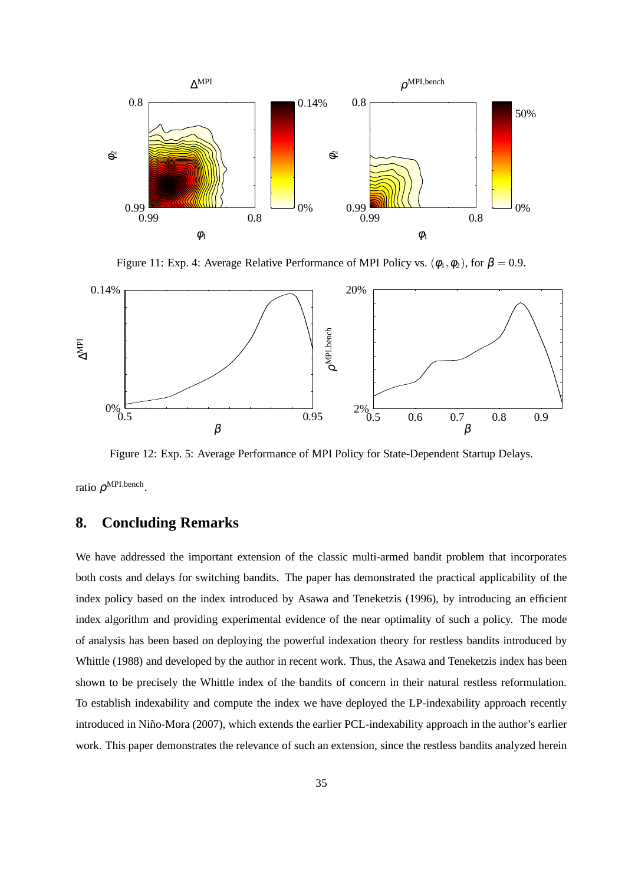

Figure 11: Exp. 4: Average Relative Performance of MPI Policy vs.  $(\phi_1, \phi_2)$ , for  $\beta = 0.9$ .



Figure 12: Exp. 5: Average Performance of MPI Policy for State-Dependent Startup Delays.

ratio  $\rho^{\text{MPI,bench}}$ .

0.3

## **8. Concluding Remarks**

We have addressed the important extension of the classic multi-armed bandit problem that incorporates both costs and delays for switching bandits. The paper has demonstrated the practical applicability of the index policy based on the index introduced by Asawa and Teneketzis (1996), by introducing an efficient index algorithm and providing experimental evidence of the near optimality of such a policy. The mode of analysis has been based on deploying the powerful indexation theory for restless bandits introduced by Whittle (1988) and developed by the author in recent work. Thus, the Asawa and Teneketzis index has been shown to be precisely the Whittle index of the bandits of concern in their natural restless reformulation. To establish indexability and compute the index we have deployed the LP-indexability approach recently introduced in Niño-Mora (2007), which extends the earlier PCL-indexability approach in the author's earlier work. This paper demonstrates the relevance of such an extension, since the restless bandits analyzed herein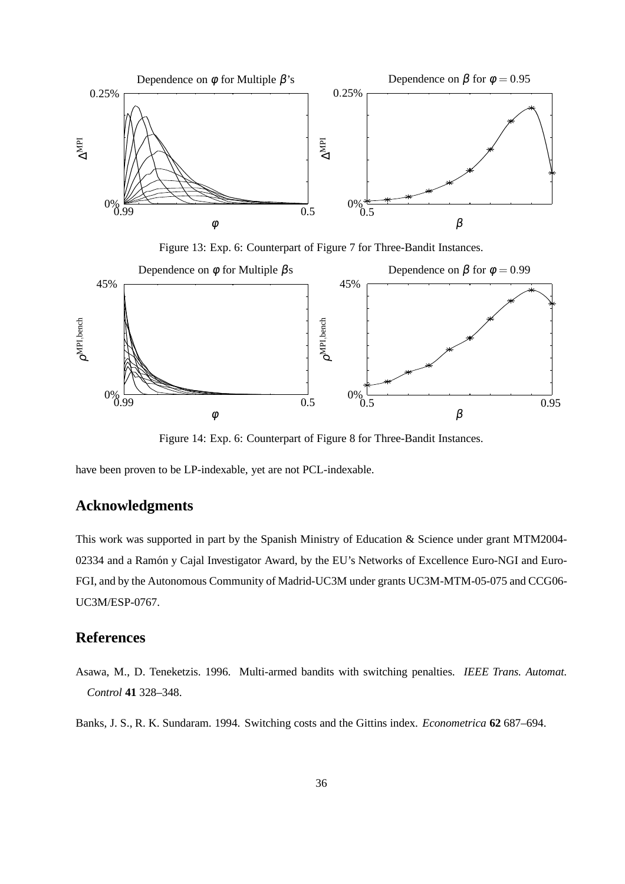

Figure 13: Exp. 6: Counterpart of Figure 7 for Three-Bandit Instances.



Figure 14: Exp. 6: Counterpart of Figure 8 for Three-Bandit Instances.

have been proven to be LP-indexable, yet are not PCL-indexable.

## **Acknowledgments**

This work was supported in part by the Spanish Ministry of Education & Science under grant MTM2004- 02334 and a Ramón y Cajal Investigator Award, by the EU's Networks of Excellence Euro-NGI and Euro-FGI, and by the Autonomous Community of Madrid-UC3M under grants UC3M-MTM-05-075 and CCG06- UC3M/ESP-0767.

## **References**

Asawa, M., D. Teneketzis. 1996. Multi-armed bandits with switching penalties. *IEEE Trans. Automat. Control* **41** 328–348.

Banks, J. S., R. K. Sundaram. 1994. Switching costs and the Gittins index. *Econometrica* **62** 687–694.